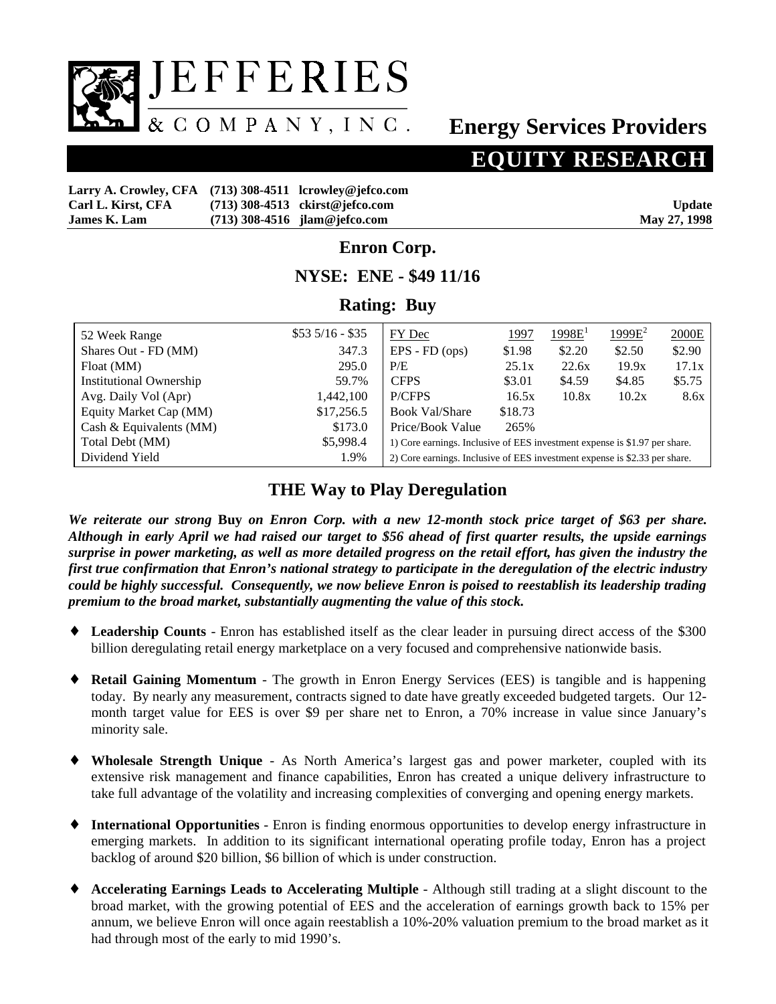

# **Energy Services Providers**

# **EQUITY RESEARCH**

| Larry A. Crowley, CFA (713) 308-4511 lcrowley@jefco.com |                                   |               |
|---------------------------------------------------------|-----------------------------------|---------------|
| Carl L. Kirst, CFA                                      | $(713)$ 308-4513 ckirst@jefco.com | <b>Update</b> |
| <b>James K. Lam</b>                                     | $(713)$ 308-4516 jlam@jefco.com   | May 27, 1998  |

### **Enron Corp.**

#### **NYSE: ENE - \$49 11/16**

### **Rating: Buy**

| 52 Week Range                  | $$535/16 - $35$ | FY Dec                                                                     | 1997    | 1998E <sup>1</sup> | $1999E^2$ | 2000E  |  |  |
|--------------------------------|-----------------|----------------------------------------------------------------------------|---------|--------------------|-----------|--------|--|--|
| Shares Out - FD (MM)           | 347.3           | $EPS$ - $FD$ (ops)                                                         | \$1.98  | \$2.20             | \$2.50    | \$2.90 |  |  |
| Float (MM)                     | 295.0           | P/E                                                                        | 25.1x   | 22.6x              | 19.9x     | 17.1x  |  |  |
| <b>Institutional Ownership</b> | 59.7%           | <b>CFPS</b>                                                                | \$3.01  | \$4.59             | \$4.85    | \$5.75 |  |  |
| Avg. Daily Vol (Apr)           | 1,442,100       | P/CFPS                                                                     | 16.5x   | 10.8x              | 10.2x     | 8.6x   |  |  |
| Equity Market Cap (MM)         | \$17,256.5      | <b>Book Val/Share</b>                                                      | \$18.73 |                    |           |        |  |  |
| Cash & Equivalents $(MM)$      | \$173.0         | Price/Book Value                                                           | 265%    |                    |           |        |  |  |
| Total Debt (MM)                | \$5,998.4       | 1) Core earnings. Inclusive of EES investment expense is \$1.97 per share. |         |                    |           |        |  |  |
| Dividend Yield                 | 1.9%            | 2) Core earnings. Inclusive of EES investment expense is \$2.33 per share. |         |                    |           |        |  |  |

# **THE Way to Play Deregulation**

*We reiterate our strong* **Buy** *on Enron Corp. with a new 12-month stock price target of \$63 per share. Although in early April we had raised our target to \$56 ahead of first quarter results, the upside earnings surprise in power marketing, as well as more detailed progress on the retail effort, has given the industry the first true confirmation that Enron's national strategy to participate in the deregulation of the electric industry could be highly successful. Consequently, we now believe Enron is poised to reestablish its leadership trading premium to the broad market, substantially augmenting the value of this stock.*

- ♦ **Leadership Counts** Enron has established itself as the clear leader in pursuing direct access of the \$300 billion deregulating retail energy marketplace on a very focused and comprehensive nationwide basis.
- ♦ **Retail Gaining Momentum** The growth in Enron Energy Services (EES) is tangible and is happening today. By nearly any measurement, contracts signed to date have greatly exceeded budgeted targets. Our 12 month target value for EES is over \$9 per share net to Enron, a 70% increase in value since January's minority sale.
- ♦ **Wholesale Strength Unique** As North America's largest gas and power marketer, coupled with its extensive risk management and finance capabilities, Enron has created a unique delivery infrastructure to take full advantage of the volatility and increasing complexities of converging and opening energy markets.
- ♦ **International Opportunities** Enron is finding enormous opportunities to develop energy infrastructure in emerging markets. In addition to its significant international operating profile today, Enron has a project backlog of around \$20 billion, \$6 billion of which is under construction.
- ♦ **Accelerating Earnings Leads to Accelerating Multiple**Although still trading at a slight discount to the broad market, with the growing potential of EES and the acceleration of earnings growth back to 15% per annum, we believe Enron will once again reestablish a 10%-20% valuation premium to the broad market as it had through most of the early to mid 1990's.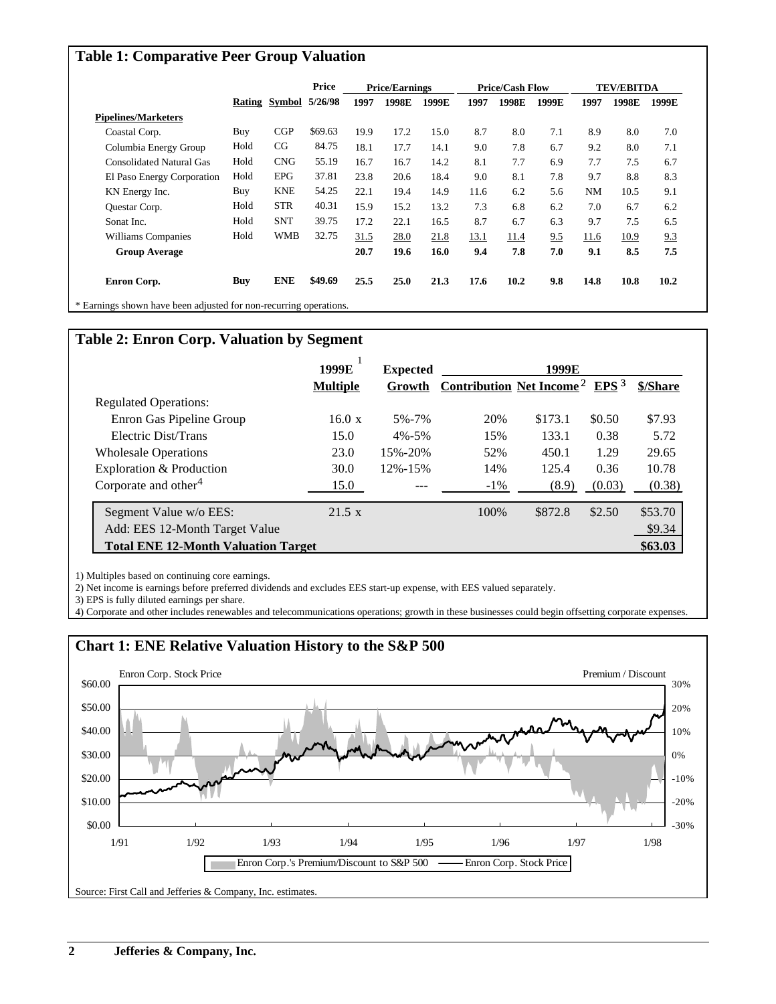### **Table 1: Comparative Peer Group Valuation**

|                                 |      |                       |         | Price<br><b>Price/Earnings</b> |       |       | <b>Price/Cash Flow</b> |       |       | <b>TEV/EBITDA</b> |       |       |
|---------------------------------|------|-----------------------|---------|--------------------------------|-------|-------|------------------------|-------|-------|-------------------|-------|-------|
|                                 |      | Rating Symbol 5/26/98 |         | 1997                           | 1998E | 1999E | 1997                   | 1998E | 1999E | 1997              | 1998E | 1999E |
| <b>Pipelines/Marketers</b>      |      |                       |         |                                |       |       |                        |       |       |                   |       |       |
| Coastal Corp.                   | Buy  | CGP                   | \$69.63 | 19.9                           | 17.2  | 15.0  | 8.7                    | 8.0   | 7.1   | 8.9               | 8.0   | 7.0   |
| Columbia Energy Group           | Hold | CG                    | 84.75   | 18.1                           | 17.7  | 14.1  | 9.0                    | 7.8   | 6.7   | 9.2               | 8.0   | 7.1   |
| <b>Consolidated Natural Gas</b> | Hold | <b>CNG</b>            | 55.19   | 16.7                           | 16.7  | 14.2  | 8.1                    | 7.7   | 6.9   | 7.7               | 7.5   | 6.7   |
| El Paso Energy Corporation      | Hold | <b>EPG</b>            | 37.81   | 23.8                           | 20.6  | 18.4  | 9.0                    | 8.1   | 7.8   | 9.7               | 8.8   | 8.3   |
| KN Energy Inc.                  | Buy  | <b>KNE</b>            | 54.25   | 22.1                           | 19.4  | 14.9  | 11.6                   | 6.2   | 5.6   | NM                | 10.5  | 9.1   |
| Questar Corp.                   | Hold | <b>STR</b>            | 40.31   | 15.9                           | 15.2  | 13.2  | 7.3                    | 6.8   | 6.2   | 7.0               | 6.7   | 6.2   |
| Sonat Inc.                      | Hold | <b>SNT</b>            | 39.75   | 17.2                           | 22.1  | 16.5  | 8.7                    | 6.7   | 6.3   | 9.7               | 7.5   | 6.5   |
| Williams Companies              | Hold | WMB                   | 32.75   | 31.5                           | 28.0  | 21.8  | 13.1                   | 11.4  | 9.5   | 11.6              | 10.9  | 9.3   |
| <b>Group Average</b>            |      |                       |         | 20.7                           | 19.6  | 16.0  | 9.4                    | 7.8   | 7.0   | 9.1               | 8.5   | 7.5   |
| Enron Corp.                     | Buy  | <b>ENE</b>            | \$49.69 | 25.5                           | 25.0  | 21.3  | 17.6                   | 10.2  | 9.8   | 14.8              | 10.8  | 10.2  |

## **Table 2: Enron Corp. Valuation by Segment**

|                                            | 1999E           | <b>Expected</b> |                                            | 1999E   |                  |          |
|--------------------------------------------|-----------------|-----------------|--------------------------------------------|---------|------------------|----------|
|                                            | <b>Multiple</b> | Growth          | <b>Contribution Net Income<sup>2</sup></b> |         | EPS <sup>3</sup> | \$/Share |
| <b>Regulated Operations:</b>               |                 |                 |                                            |         |                  |          |
| Enron Gas Pipeline Group                   | 16.0 x          | 5%-7%           | 20%                                        | \$173.1 | \$0.50           | \$7.93   |
| Electric Dist/Trans                        | 15.0            | $4\% - 5\%$     | 15%                                        | 133.1   | 0.38             | 5.72     |
| <b>Wholesale Operations</b>                | 23.0            | 15%-20%         | 52%                                        | 450.1   | 1.29             | 29.65    |
| Exploration & Production                   | 30.0            | 12%-15%         | 14%                                        | 125.4   | 0.36             | 10.78    |
| Corporate and other <sup>4</sup>           | 15.0            |                 | $-1\%$                                     | (8.9)   | (0.03)           | (0.38)   |
| Segment Value w/o EES:                     | $21.5 \times$   |                 | 100%                                       | \$872.8 | \$2.50           | \$53.70  |
| Add: EES 12-Month Target Value             |                 |                 |                                            |         |                  | \$9.34   |
| <b>Total ENE 12-Month Valuation Target</b> |                 |                 |                                            |         |                  | \$63.03  |

1) Multiples based on continuing core earnings.

2) Net income is earnings before preferred dividends and excludes EES start-up expense, with EES valued separately.

3) EPS is fully diluted earnings per share.

4) Corporate and other includes renewables and telecommunications operations; growth in these businesses could begin offsetting corporate expenses.

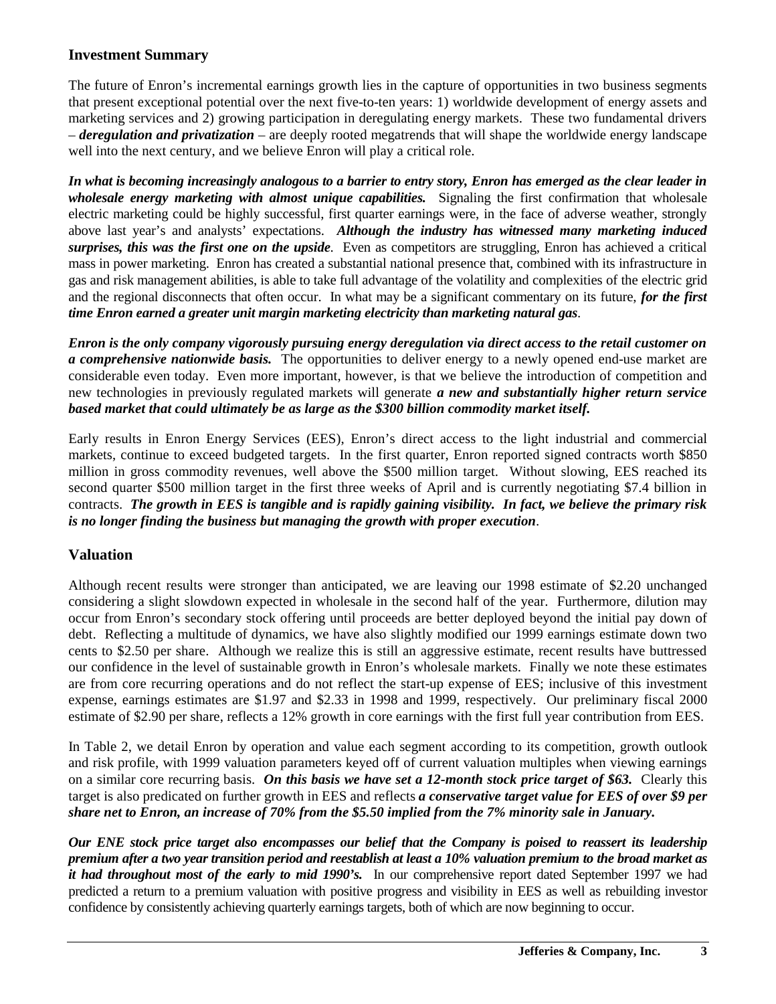#### **Investment Summary**

The future of Enron's incremental earnings growth lies in the capture of opportunities in two business segments that present exceptional potential over the next five-to-ten years: 1) worldwide development of energy assets and marketing services and 2) growing participation in deregulating energy markets. These two fundamental drivers – *deregulation and privatization* – are deeply rooted megatrends that will shape the worldwide energy landscape well into the next century, and we believe Enron will play a critical role.

*In what is becoming increasingly analogous to a barrier to entry story, Enron has emerged as the clear leader in wholesale energy marketing with almost unique capabilities.* Signaling the first confirmation that wholesale electric marketing could be highly successful, first quarter earnings were, in the face of adverse weather, strongly above last year's and analysts' expectations. *Although the industry has witnessed many marketing induced surprises, this was the first one on the upside*. Even as competitors are struggling, Enron has achieved a critical mass in power marketing. Enron has created a substantial national presence that, combined with its infrastructure in gas and risk management abilities, is able to take full advantage of the volatility and complexities of the electric grid and the regional disconnects that often occur. In what may be a significant commentary on its future, *for the first time Enron earned a greater unit margin marketing electricity than marketing natural gas*.

*Enron is the only company vigorously pursuing energy deregulation via direct access to the retail customer on a comprehensive nationwide basis.* The opportunities to deliver energy to a newly opened end-use market are considerable even today. Even more important, however, is that we believe the introduction of competition and new technologies in previously regulated markets will generate *a new and substantially higher return service based market that could ultimately be as large as the \$300 billion commodity market itself.*

Early results in Enron Energy Services (EES), Enron's direct access to the light industrial and commercial markets, continue to exceed budgeted targets. In the first quarter, Enron reported signed contracts worth \$850 million in gross commodity revenues, well above the \$500 million target. Without slowing, EES reached its second quarter \$500 million target in the first three weeks of April and is currently negotiating \$7.4 billion in contracts. *The growth in EES is tangible and is rapidly gaining visibility. In fact, we believe the primary risk is no longer finding the business but managing the growth with proper execution*.

#### **Valuation**

Although recent results were stronger than anticipated, we are leaving our 1998 estimate of \$2.20 unchanged considering a slight slowdown expected in wholesale in the second half of the year. Furthermore, dilution may occur from Enron's secondary stock offering until proceeds are better deployed beyond the initial pay down of debt. Reflecting a multitude of dynamics, we have also slightly modified our 1999 earnings estimate down two cents to \$2.50 per share. Although we realize this is still an aggressive estimate, recent results have buttressed our confidence in the level of sustainable growth in Enron's wholesale markets. Finally we note these estimates are from core recurring operations and do not reflect the start-up expense of EES; inclusive of this investment expense, earnings estimates are \$1.97 and \$2.33 in 1998 and 1999, respectively. Our preliminary fiscal 2000 estimate of \$2.90 per share, reflects a 12% growth in core earnings with the first full year contribution from EES.

In Table 2, we detail Enron by operation and value each segment according to its competition, growth outlook and risk profile, with 1999 valuation parameters keyed off of current valuation multiples when viewing earnings on a similar core recurring basis. *On this basis we have set a 12-month stock price target of \$63.* Clearly this target is also predicated on further growth in EES and reflects *a conservative target value for EES of over \$9 per share net to Enron, an increase of 70% from the \$5.50 implied from the 7% minority sale in January.*

*Our ENE stock price target also encompasses our belief that the Company is poised to reassert its leadership premium after a two year transition period and reestablish at least a 10% valuation premium to the broad market as it had throughout most of the early to mid 1990's.* In our comprehensive report dated September 1997 we had predicted a return to a premium valuation with positive progress and visibility in EES as well as rebuilding investor confidence by consistently achieving quarterly earnings targets, both of which are now beginning to occur.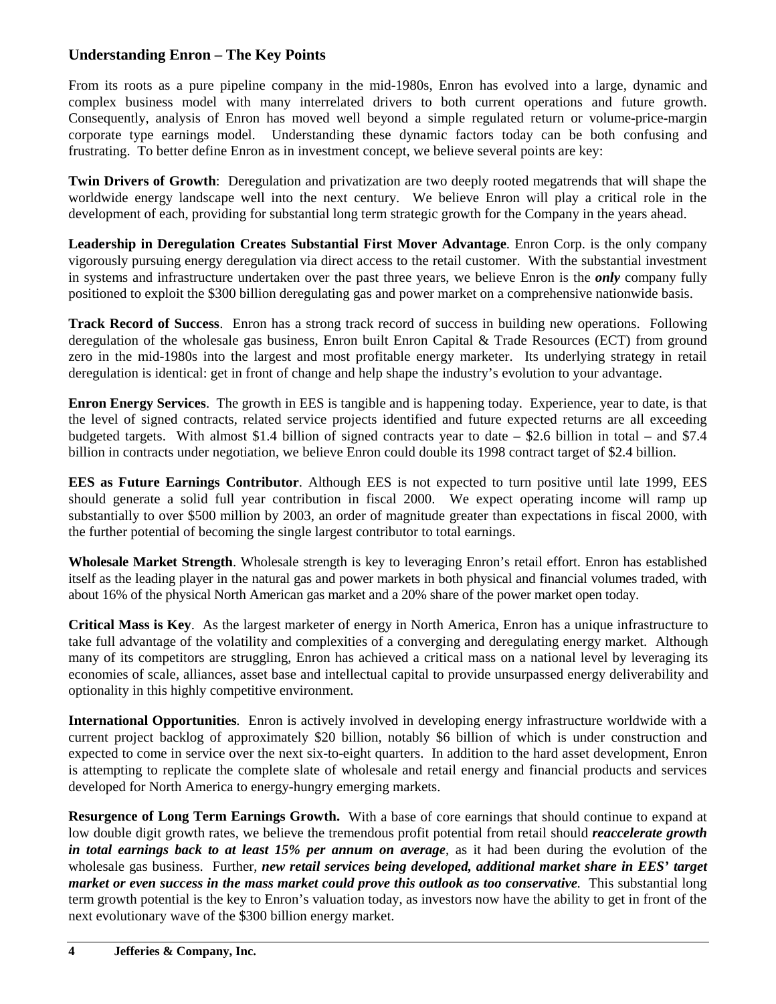# **Understanding Enron – The Key Points**

From its roots as a pure pipeline company in the mid-1980s, Enron has evolved into a large, dynamic and complex business model with many interrelated drivers to both current operations and future growth. Consequently, analysis of Enron has moved well beyond a simple regulated return or volume-price-margin corporate type earnings model. Understanding these dynamic factors today can be both confusing and frustrating. To better define Enron as in investment concept, we believe several points are key:

**Twin Drivers of Growth**: Deregulation and privatization are two deeply rooted megatrends that will shape the worldwide energy landscape well into the next century. We believe Enron will play a critical role in the development of each, providing for substantial long term strategic growth for the Company in the years ahead.

**Leadership in Deregulation Creates Substantial First Mover Advantage**. Enron Corp. is the only company vigorously pursuing energy deregulation via direct access to the retail customer. With the substantial investment in systems and infrastructure undertaken over the past three years, we believe Enron is the *only* company fully positioned to exploit the \$300 billion deregulating gas and power market on a comprehensive nationwide basis.

**Track Record of Success**. Enron has a strong track record of success in building new operations. Following deregulation of the wholesale gas business, Enron built Enron Capital & Trade Resources (ECT) from ground zero in the mid-1980s into the largest and most profitable energy marketer. Its underlying strategy in retail deregulation is identical: get in front of change and help shape the industry's evolution to your advantage.

**Enron Energy Services**. The growth in EES is tangible and is happening today. Experience, year to date, is that the level of signed contracts, related service projects identified and future expected returns are all exceeding budgeted targets. With almost \$1.4 billion of signed contracts year to date – \$2.6 billion in total – and \$7.4 billion in contracts under negotiation, we believe Enron could double its 1998 contract target of \$2.4 billion.

**EES as Future Earnings Contributor**. Although EES is not expected to turn positive until late 1999, EES should generate a solid full year contribution in fiscal 2000. We expect operating income will ramp up substantially to over \$500 million by 2003, an order of magnitude greater than expectations in fiscal 2000, with the further potential of becoming the single largest contributor to total earnings.

**Wholesale Market Strength**. Wholesale strength is key to leveraging Enron's retail effort. Enron has established itself as the leading player in the natural gas and power markets in both physical and financial volumes traded, with about 16% of the physical North American gas market and a 20% share of the power market open today.

**Critical Mass is Key**. As the largest marketer of energy in North America, Enron has a unique infrastructure to take full advantage of the volatility and complexities of a converging and deregulating energy market. Although many of its competitors are struggling, Enron has achieved a critical mass on a national level by leveraging its economies of scale, alliances, asset base and intellectual capital to provide unsurpassed energy deliverability and optionality in this highly competitive environment.

**International Opportunities**. Enron is actively involved in developing energy infrastructure worldwide with a current project backlog of approximately \$20 billion, notably \$6 billion of which is under construction and expected to come in service over the next six-to-eight quarters. In addition to the hard asset development, Enron is attempting to replicate the complete slate of wholesale and retail energy and financial products and services developed for North America to energy-hungry emerging markets.

**Resurgence of Long Term Earnings Growth.** With a base of core earnings that should continue to expand at low double digit growth rates, we believe the tremendous profit potential from retail should *reaccelerate growth in total earnings back to at least 15% per annum on average*, as it had been during the evolution of the wholesale gas business. Further, *new retail services being developed, additional market share in EES' target market or even success in the mass market could prove this outlook as too conservative*. This substantial long term growth potential is the key to Enron's valuation today, as investors now have the ability to get in front of the next evolutionary wave of the \$300 billion energy market.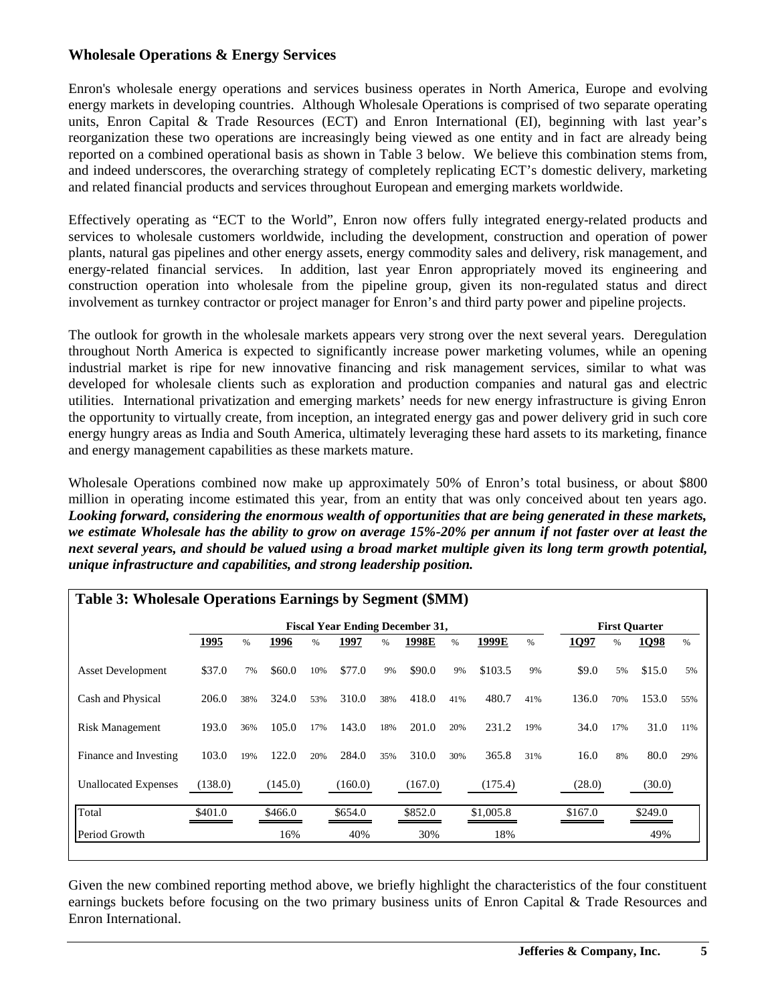#### **Wholesale Operations & Energy Services**

Enron's wholesale energy operations and services business operates in North America, Europe and evolving energy markets in developing countries. Although Wholesale Operations is comprised of two separate operating units, Enron Capital & Trade Resources (ECT) and Enron International (EI), beginning with last year's reorganization these two operations are increasingly being viewed as one entity and in fact are already being reported on a combined operational basis as shown in Table 3 below. We believe this combination stems from, and indeed underscores, the overarching strategy of completely replicating ECT's domestic delivery, marketing and related financial products and services throughout European and emerging markets worldwide.

Effectively operating as "ECT to the World", Enron now offers fully integrated energy-related products and services to wholesale customers worldwide, including the development, construction and operation of power plants, natural gas pipelines and other energy assets, energy commodity sales and delivery, risk management, and energy-related financial services. In addition, last year Enron appropriately moved its engineering and construction operation into wholesale from the pipeline group, given its non-regulated status and direct involvement as turnkey contractor or project manager for Enron's and third party power and pipeline projects.

The outlook for growth in the wholesale markets appears very strong over the next several years. Deregulation throughout North America is expected to significantly increase power marketing volumes, while an opening industrial market is ripe for new innovative financing and risk management services, similar to what was developed for wholesale clients such as exploration and production companies and natural gas and electric utilities. International privatization and emerging markets' needs for new energy infrastructure is giving Enron the opportunity to virtually create, from inception, an integrated energy gas and power delivery grid in such core energy hungry areas as India and South America, ultimately leveraging these hard assets to its marketing, finance and energy management capabilities as these markets mature.

Wholesale Operations combined now make up approximately 50% of Enron's total business, or about \$800 million in operating income estimated this year, from an entity that was only conceived about ten years ago. *Looking forward, considering the enormous wealth of opportunities that are being generated in these markets, we estimate Wholesale has the ability to grow on average 15%-20% per annum if not faster over at least the next several years, and should be valued using a broad market multiple given its long term growth potential, unique infrastructure and capabilities, and strong leadership position.*

| Table 3: Wholesale Operations Earnings by Segment (\$MM) |                                        |      |         |     |         |     |         |     |           |     |         |                      |         |      |  |
|----------------------------------------------------------|----------------------------------------|------|---------|-----|---------|-----|---------|-----|-----------|-----|---------|----------------------|---------|------|--|
|                                                          | <b>Fiscal Year Ending December 31,</b> |      |         |     |         |     |         |     |           |     |         | <b>First Quarter</b> |         |      |  |
|                                                          | 1995                                   | $\%$ | 1996    | %   | 1997    | %   | 1998E   | %   | 1999E     | %   | 1Q97    | %                    | 1Q98    | $\%$ |  |
| <b>Asset Development</b>                                 | \$37.0                                 | 7%   | \$60.0  | 10% | \$77.0  | 9%  | \$90.0  | 9%  | \$103.5   | 9%  | \$9.0   | 5%                   | \$15.0  | 5%   |  |
| Cash and Physical                                        | 206.0                                  | 38%  | 324.0   | 53% | 310.0   | 38% | 418.0   | 41% | 480.7     | 41% | 136.0   | 70%                  | 153.0   | 55%  |  |
| <b>Risk Management</b>                                   | 193.0                                  | 36%  | 105.0   | 17% | 143.0   | 18% | 201.0   | 20% | 231.2     | 19% | 34.0    | 17%                  | 31.0    | 11%  |  |
| Finance and Investing                                    | 103.0                                  | 19%  | 122.0   | 20% | 284.0   | 35% | 310.0   | 30% | 365.8     | 31% | 16.0    | 8%                   | 80.0    | 29%  |  |
| <b>Unallocated Expenses</b>                              | (138.0)                                |      | (145.0) |     | (160.0) |     | (167.0) |     | (175.4)   |     | (28.0)  |                      | (30.0)  |      |  |
| Total                                                    | \$401.0                                |      | \$466.0 |     | \$654.0 |     | \$852.0 |     | \$1,005.8 |     | \$167.0 |                      | \$249.0 |      |  |
| Period Growth                                            |                                        |      | 16%     |     | 40%     |     | 30%     |     | 18%       |     |         |                      | 49%     |      |  |

Given the new combined reporting method above, we briefly highlight the characteristics of the four constituent earnings buckets before focusing on the two primary business units of Enron Capital & Trade Resources and Enron International.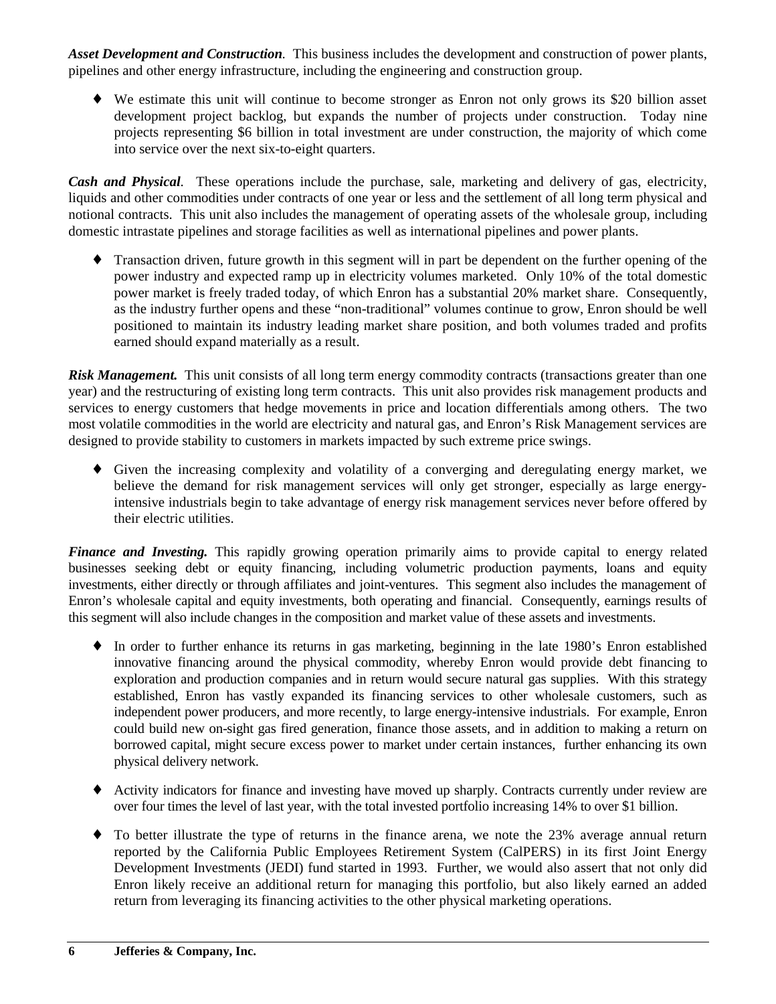*Asset Development and Construction.* This business includes the development and construction of power plants, pipelines and other energy infrastructure, including the engineering and construction group.

♦ We estimate this unit will continue to become stronger as Enron not only grows its \$20 billion asset development project backlog, but expands the number of projects under construction. Today nine projects representing \$6 billion in total investment are under construction, the majority of which come into service over the next six-to-eight quarters.

*Cash and Physical.* These operations include the purchase, sale, marketing and delivery of gas, electricity, liquids and other commodities under contracts of one year or less and the settlement of all long term physical and notional contracts. This unit also includes the management of operating assets of the wholesale group, including domestic intrastate pipelines and storage facilities as well as international pipelines and power plants.

♦ Transaction driven, future growth in this segment will in part be dependent on the further opening of the power industry and expected ramp up in electricity volumes marketed. Only 10% of the total domestic power market is freely traded today, of which Enron has a substantial 20% market share. Consequently, as the industry further opens and these "non-traditional" volumes continue to grow, Enron should be well positioned to maintain its industry leading market share position, and both volumes traded and profits earned should expand materially as a result.

*Risk Management.* This unit consists of all long term energy commodity contracts (transactions greater than one year) and the restructuring of existing long term contracts. This unit also provides risk management products and services to energy customers that hedge movements in price and location differentials among others. The two most volatile commodities in the world are electricity and natural gas, and Enron's Risk Management services are designed to provide stability to customers in markets impacted by such extreme price swings.

♦ Given the increasing complexity and volatility of a converging and deregulating energy market, we believe the demand for risk management services will only get stronger, especially as large energyintensive industrials begin to take advantage of energy risk management services never before offered by their electric utilities.

*Finance and Investing.* This rapidly growing operation primarily aims to provide capital to energy related businesses seeking debt or equity financing, including volumetric production payments, loans and equity investments, either directly or through affiliates and joint-ventures. This segment also includes the management of Enron's wholesale capital and equity investments, both operating and financial. Consequently, earnings results of this segment will also include changes in the composition and market value of these assets and investments.

- ♦ In order to further enhance its returns in gas marketing, beginning in the late 1980's Enron established innovative financing around the physical commodity, whereby Enron would provide debt financing to exploration and production companies and in return would secure natural gas supplies. With this strategy established, Enron has vastly expanded its financing services to other wholesale customers, such as independent power producers, and more recently, to large energy-intensive industrials. For example, Enron could build new on-sight gas fired generation, finance those assets, and in addition to making a return on borrowed capital, might secure excess power to market under certain instances, further enhancing its own physical delivery network.
- ♦ Activity indicators for finance and investing have moved up sharply. Contracts currently under review are over four times the level of last year, with the total invested portfolio increasing 14% to over \$1 billion.
- ♦ To better illustrate the type of returns in the finance arena, we note the 23% average annual return reported by the California Public Employees Retirement System (CalPERS) in its first Joint Energy Development Investments (JEDI) fund started in 1993. Further, we would also assert that not only did Enron likely receive an additional return for managing this portfolio, but also likely earned an added return from leveraging its financing activities to the other physical marketing operations.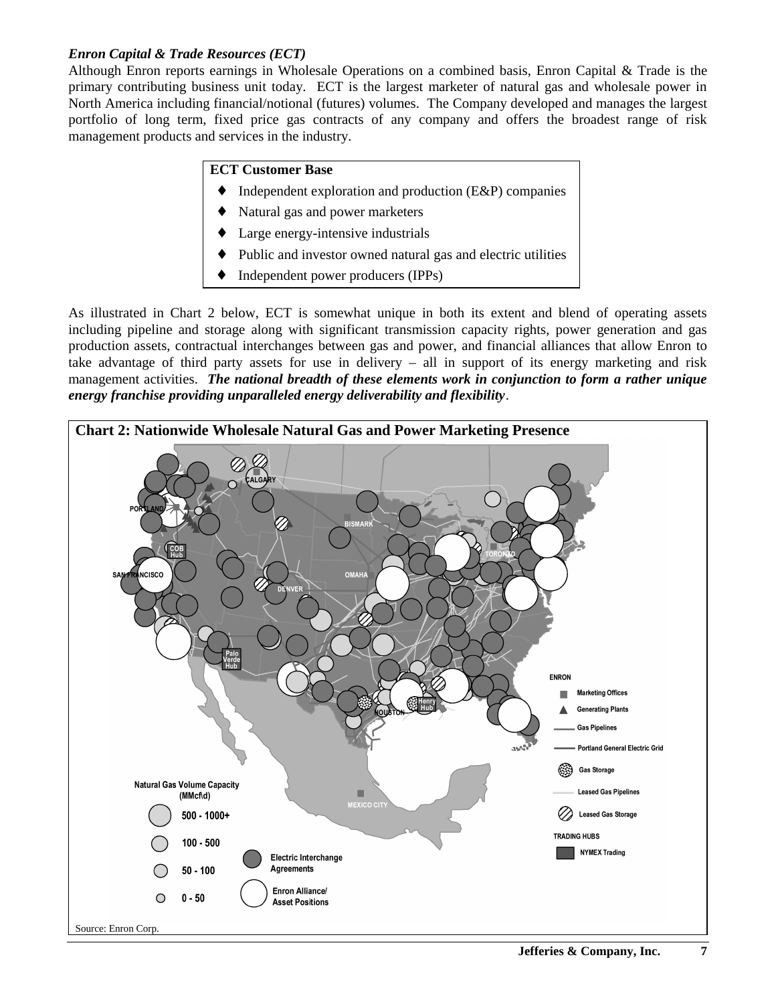#### *Enron Capital & Trade Resources (ECT)*

Although Enron reports earnings in Wholesale Operations on a combined basis, Enron Capital & Trade is the primary contributing business unit today. ECT is the largest marketer of natural gas and wholesale power in North America including financial/notional (futures) volumes. The Company developed and manages the largest portfolio of long term, fixed price gas contracts of any company and offers the broadest range of risk management products and services in the industry.

#### **ECT Customer Base**

- Independent exploration and production  $(E\&P)$  companies
- Natural gas and power marketers
- Large energy-intensive industrials
- Public and investor owned natural gas and electric utilities
- Independent power producers (IPPs)

As illustrated in Chart 2 below, ECT is somewhat unique in both its extent and blend of operating assets including pipeline and storage along with significant transmission capacity rights, power generation and gas production assets, contractual interchanges between gas and power, and financial alliances that allow Enron to take advantage of third party assets for use in delivery – all in support of its energy marketing and risk management activities. *The national breadth of these elements work in conjunction to form a rather unique energy franchise providing unparalleled energy deliverability and flexibility*.

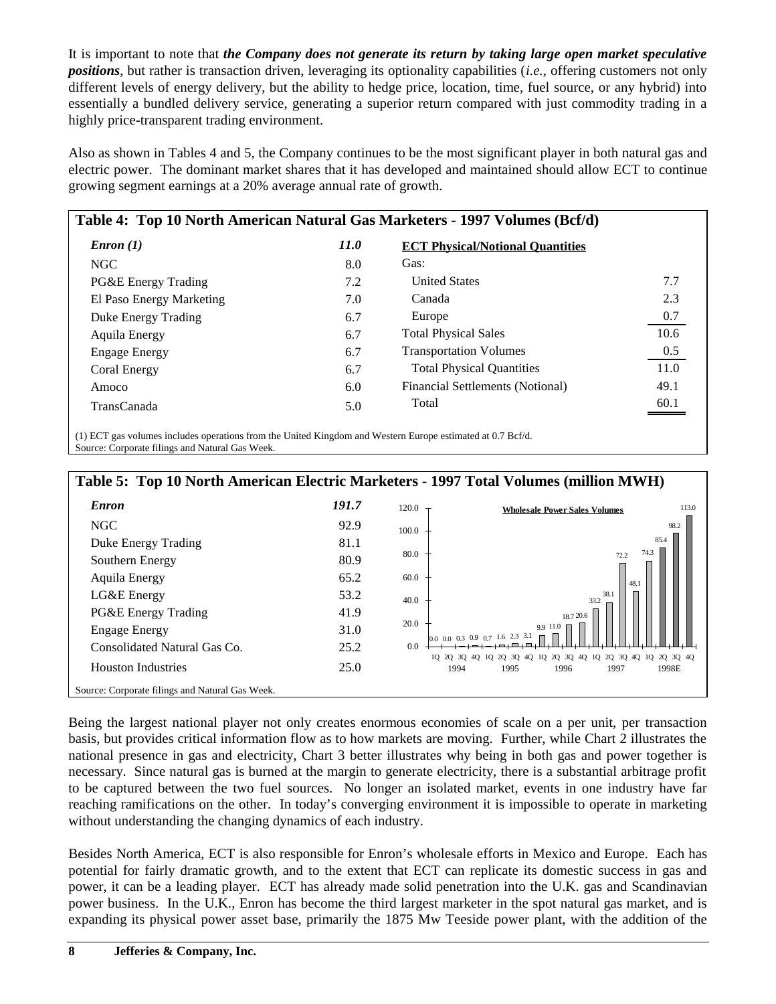It is important to note that *the Company does not generate its return by taking large open market speculative positions*, but rather is transaction driven, leveraging its optionality capabilities (*i.e.*, offering customers not only different levels of energy delivery, but the ability to hedge price, location, time, fuel source, or any hybrid) into essentially a bundled delivery service, generating a superior return compared with just commodity trading in a highly price-transparent trading environment.

Also as shown in Tables 4 and 5, the Company continues to be the most significant player in both natural gas and electric power. The dominant market shares that it has developed and maintained should allow ECT to continue growing segment earnings at a 20% average annual rate of growth.

|                          | Table 4: Top 10 North American Natural Gas Marketers - 1997 Volumes (Bcf/d) |                                         |      |  |  |  |  |  |  |
|--------------------------|-----------------------------------------------------------------------------|-----------------------------------------|------|--|--|--|--|--|--|
| $\textit{Enron}(1)$      | 11.0                                                                        | <b>ECT Physical/Notional Quantities</b> |      |  |  |  |  |  |  |
| NGC                      | 8.0                                                                         | Gas:                                    |      |  |  |  |  |  |  |
| PG&E Energy Trading      | 7.2                                                                         | <b>United States</b>                    | 7.7  |  |  |  |  |  |  |
| El Paso Energy Marketing | 7.0                                                                         | Canada                                  | 2.3  |  |  |  |  |  |  |
| Duke Energy Trading      | 6.7                                                                         | Europe                                  | 0.7  |  |  |  |  |  |  |
| Aquila Energy            | 6.7                                                                         | <b>Total Physical Sales</b>             | 10.6 |  |  |  |  |  |  |
| <b>Engage Energy</b>     | 6.7                                                                         | <b>Transportation Volumes</b>           | 0.5  |  |  |  |  |  |  |
| Coral Energy             | 6.7                                                                         | <b>Total Physical Quantities</b>        | 11.0 |  |  |  |  |  |  |
| Amoco                    | 6.0                                                                         | Financial Settlements (Notional)        | 49.1 |  |  |  |  |  |  |
| <b>TransCanada</b>       | 5.0                                                                         | Total                                   | 60.1 |  |  |  |  |  |  |

(1) ECT gas volumes includes operations from the United Kingdom and Western Europe estimated at 0.7 Bcf/d. Source: Corporate filings and Natural Gas Week.



Being the largest national player not only creates enormous economies of scale on a per unit, per transaction basis, but provides critical information flow as to how markets are moving. Further, while Chart 2 illustrates the national presence in gas and electricity, Chart 3 better illustrates why being in both gas and power together is necessary. Since natural gas is burned at the margin to generate electricity, there is a substantial arbitrage profit to be captured between the two fuel sources. No longer an isolated market, events in one industry have far reaching ramifications on the other. In today's converging environment it is impossible to operate in marketing without understanding the changing dynamics of each industry.

Besides North America, ECT is also responsible for Enron's wholesale efforts in Mexico and Europe. Each has potential for fairly dramatic growth, and to the extent that ECT can replicate its domestic success in gas and power, it can be a leading player. ECT has already made solid penetration into the U.K. gas and Scandinavian power business. In the U.K., Enron has become the third largest marketer in the spot natural gas market, and is expanding its physical power asset base, primarily the 1875 Mw Teeside power plant, with the addition of the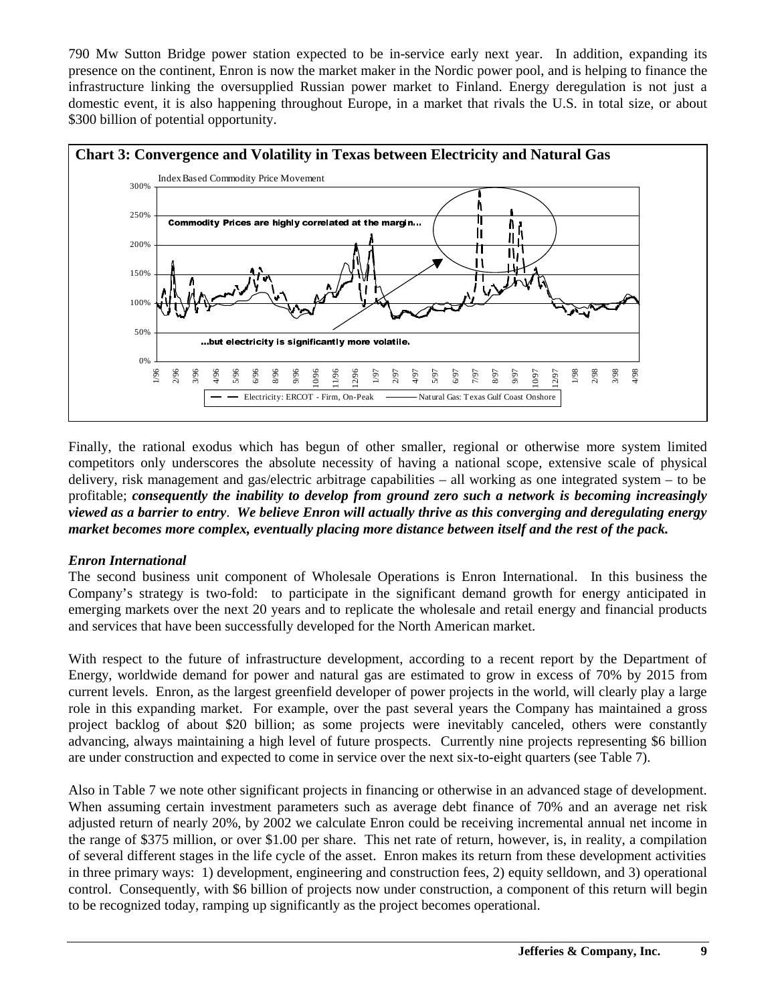790 Mw Sutton Bridge power station expected to be in-service early next year. In addition, expanding its presence on the continent, Enron is now the market maker in the Nordic power pool, and is helping to finance the infrastructure linking the oversupplied Russian power market to Finland. Energy deregulation is not just a domestic event, it is also happening throughout Europe, in a market that rivals the U.S. in total size, or about \$300 billion of potential opportunity.



Finally, the rational exodus which has begun of other smaller, regional or otherwise more system limited competitors only underscores the absolute necessity of having a national scope, extensive scale of physical delivery, risk management and gas/electric arbitrage capabilities – all working as one integrated system – to be profitable; *consequently the inability to develop from ground zero such a network is becoming increasingly viewed as a barrier to entry*. *We believe Enron will actually thrive as this converging and deregulating energy market becomes more complex, eventually placing more distance between itself and the rest of the pack.*

#### *Enron International*

The second business unit component of Wholesale Operations is Enron International. In this business the Company's strategy is two-fold: to participate in the significant demand growth for energy anticipated in emerging markets over the next 20 years and to replicate the wholesale and retail energy and financial products and services that have been successfully developed for the North American market.

With respect to the future of infrastructure development, according to a recent report by the Department of Energy, worldwide demand for power and natural gas are estimated to grow in excess of 70% by 2015 from current levels. Enron, as the largest greenfield developer of power projects in the world, will clearly play a large role in this expanding market. For example, over the past several years the Company has maintained a gross project backlog of about \$20 billion; as some projects were inevitably canceled, others were constantly advancing, always maintaining a high level of future prospects. Currently nine projects representing \$6 billion are under construction and expected to come in service over the next six-to-eight quarters (see Table 7).

Also in Table 7 we note other significant projects in financing or otherwise in an advanced stage of development. When assuming certain investment parameters such as average debt finance of 70% and an average net risk adjusted return of nearly 20%, by 2002 we calculate Enron could be receiving incremental annual net income in the range of \$375 million, or over \$1.00 per share. This net rate of return, however, is, in reality, a compilation of several different stages in the life cycle of the asset. Enron makes its return from these development activities in three primary ways: 1) development, engineering and construction fees, 2) equity selldown, and 3) operational control. Consequently, with \$6 billion of projects now under construction, a component of this return will begin to be recognized today, ramping up significantly as the project becomes operational.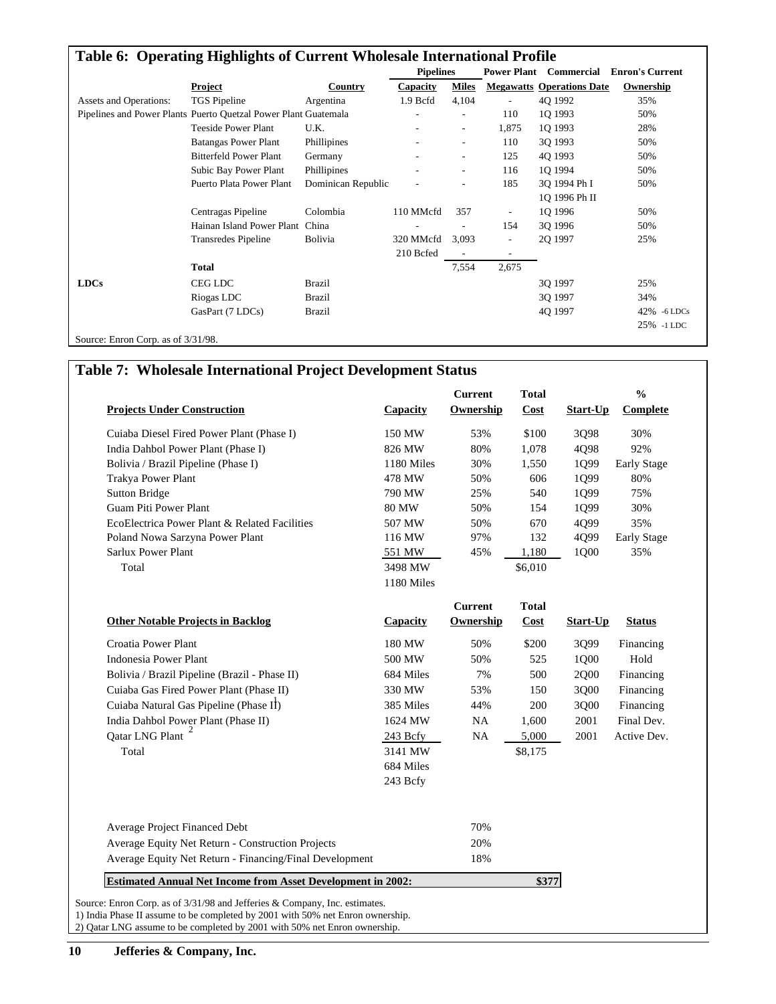|                                       | Table 6: Operating Highlights of Current Wholesale International Profile |                    |                          |                          |                          |                                  |                        |
|---------------------------------------|--------------------------------------------------------------------------|--------------------|--------------------------|--------------------------|--------------------------|----------------------------------|------------------------|
|                                       |                                                                          |                    | <b>Pipelines</b>         |                          | <b>Power Plant</b>       | Commercial                       | <b>Enron's Current</b> |
|                                       | <b>Project</b>                                                           | <b>Country</b>     | Capacity                 | <b>Miles</b>             |                          | <b>Megawatts Operations Date</b> | Ownership              |
| <b>Assets and Operations:</b>         | TGS Pipeline                                                             | Argentina          | 1.9 Bcfd                 | 4,104                    | $\overline{\phantom{a}}$ | 40 1992                          | 35%                    |
|                                       | Pipelines and Power Plants Puerto Quetzal Power Plant Guatemala          |                    | $\overline{\phantom{a}}$ | $\overline{\phantom{a}}$ | 110                      | 1Q 1993                          | 50%                    |
|                                       | <b>Teeside Power Plant</b>                                               | U.K.               |                          | $\overline{\phantom{a}}$ | 1,875                    | 1Q 1993                          | 28%                    |
|                                       | <b>Batangas Power Plant</b>                                              | Phillipines        |                          | $\overline{\phantom{a}}$ | 110                      | 3Q 1993                          | 50%                    |
|                                       | <b>Bitterfeld Power Plant</b>                                            | Germany            |                          | ٠                        | 125                      | 4Q 1993                          | 50%                    |
|                                       | Subic Bay Power Plant                                                    | Phillipines        |                          | $\overline{\phantom{a}}$ | 116                      | 10 1994                          | 50%                    |
|                                       | Puerto Plata Power Plant                                                 | Dominican Republic |                          | $\overline{\phantom{a}}$ | 185                      | 30 1994 Ph I                     | 50%                    |
|                                       |                                                                          |                    |                          |                          |                          | 10 1996 Ph II                    |                        |
|                                       | Centragas Pipeline                                                       | Colombia           | 110 MMcfd                | 357                      | $\overline{\phantom{a}}$ | 1Q 1996                          | 50%                    |
|                                       | Hainan Island Power Plant                                                | China              |                          |                          | 154                      | 30 1996                          | 50%                    |
|                                       | <b>Transredes Pipeline</b>                                               | <b>Bolivia</b>     | 320 MMcfd                | 3,093                    | $\overline{\phantom{a}}$ | 2Q 1997                          | 25%                    |
|                                       |                                                                          |                    | 210 Bcfed                | $\overline{\phantom{a}}$ | $\overline{\phantom{a}}$ |                                  |                        |
|                                       | <b>Total</b>                                                             |                    |                          | 7,554                    | 2,675                    |                                  |                        |
| <b>LDCs</b>                           | CEG LDC                                                                  | <b>Brazil</b>      |                          |                          |                          | 3Q 1997                          | 25%                    |
|                                       | Riogas LDC                                                               | <b>Brazil</b>      |                          |                          |                          | 30 1997                          | 34%                    |
|                                       | GasPart (7 LDCs)                                                         | <b>Brazil</b>      |                          |                          |                          | 4Q 1997                          | 42%<br>$-6$ LDCs       |
|                                       |                                                                          |                    |                          |                          |                          |                                  | 25% -1 LDC             |
| Source: Enron Corp. as of $3/31/98$ . |                                                                          |                    |                          |                          |                          |                                  |                        |

# **Table 7: Wholesale International Project Development Status**

| <b>Projects Under Construction</b>                      | Capacity     | <b>Current</b><br>Ownership | <b>Total</b><br>Cost | Start-Up | $\frac{0}{0}$<br>Complete |
|---------------------------------------------------------|--------------|-----------------------------|----------------------|----------|---------------------------|
| Cuiaba Diesel Fired Power Plant (Phase I)               | 150 MW       | 53%                         | \$100                | 3Q98     | 30%                       |
| India Dahbol Power Plant (Phase I)                      | 826 MW       | 80%                         | 1,078                | 4Q98     | 92%                       |
| Bolivia / Brazil Pipeline (Phase I)                     | 1180 Miles   | 30%                         | 1,550                | 1Q99     | <b>Early Stage</b>        |
| Trakya Power Plant                                      | 478 MW       | 50%                         | 606                  | 1Q99     | 80%                       |
| <b>Sutton Bridge</b>                                    | 790 MW       | 25%                         | 540                  | 1Q99     | 75%                       |
| <b>Guam Piti Power Plant</b>                            | <b>80 MW</b> | 50%                         | 154                  | 1Q99     | 30%                       |
| EcoElectrica Power Plant & Related Facilities           | 507 MW       | 50%                         | 670                  | 4Q99     | 35%                       |
| Poland Nowa Sarzyna Power Plant                         | 116 MW       | 97%                         | 132                  | 4Q99     | Early Stage               |
| <b>Sarlux Power Plant</b>                               | 551 MW       | 45%                         | 1,180                | 1Q00     | 35%                       |
| Total                                                   | 3498 MW      |                             | \$6,010              |          |                           |
|                                                         | 1180 Miles   |                             |                      |          |                           |
|                                                         |              | <b>Current</b>              | <b>Total</b>         |          |                           |
| <b>Other Notable Projects in Backlog</b>                | Capacity     | Ownership                   | Cost                 | Start-Up | <b>Status</b>             |
| Croatia Power Plant                                     | 180 MW       | 50%                         | \$200                | 3Q99     | Financing                 |
| <b>Indonesia Power Plant</b>                            | 500 MW       | 50%                         | 525                  | 1Q00     | Hold                      |
| Bolivia / Brazil Pipeline (Brazil - Phase II)           | 684 Miles    | 7%                          | 500                  | 2Q00     | Financing                 |
| Cuiaba Gas Fired Power Plant (Phase II)                 | 330 MW       | 53%                         | 150                  | 3Q00     | Financing                 |
| Cuiaba Natural Gas Pipeline (Phase II)                  | 385 Miles    | 44%                         | 200                  | 3Q00     | Financing                 |
| India Dahbol Power Plant (Phase II)                     | 1624 MW      | NA                          | 1,600                | 2001     | Final Dev.                |
| Qatar LNG Plant                                         | $243$ Bcfy   | NA                          | 5,000                | 2001     | Active Dev.               |
| Total                                                   | 3141 MW      |                             | \$8,175              |          |                           |
|                                                         | 684 Miles    |                             |                      |          |                           |
|                                                         | 243 Bcfy     |                             |                      |          |                           |
|                                                         |              |                             |                      |          |                           |
|                                                         |              | 70%                         |                      |          |                           |
| Average Project Financed Debt                           |              | 20%                         |                      |          |                           |
| Average Equity Net Return - Construction Projects       |              |                             |                      |          |                           |
| Average Equity Net Return - Financing/Final Development |              | 18%                         |                      |          |                           |

2) Qatar LNG assume to be completed by 2001 with 50% net Enron ownership.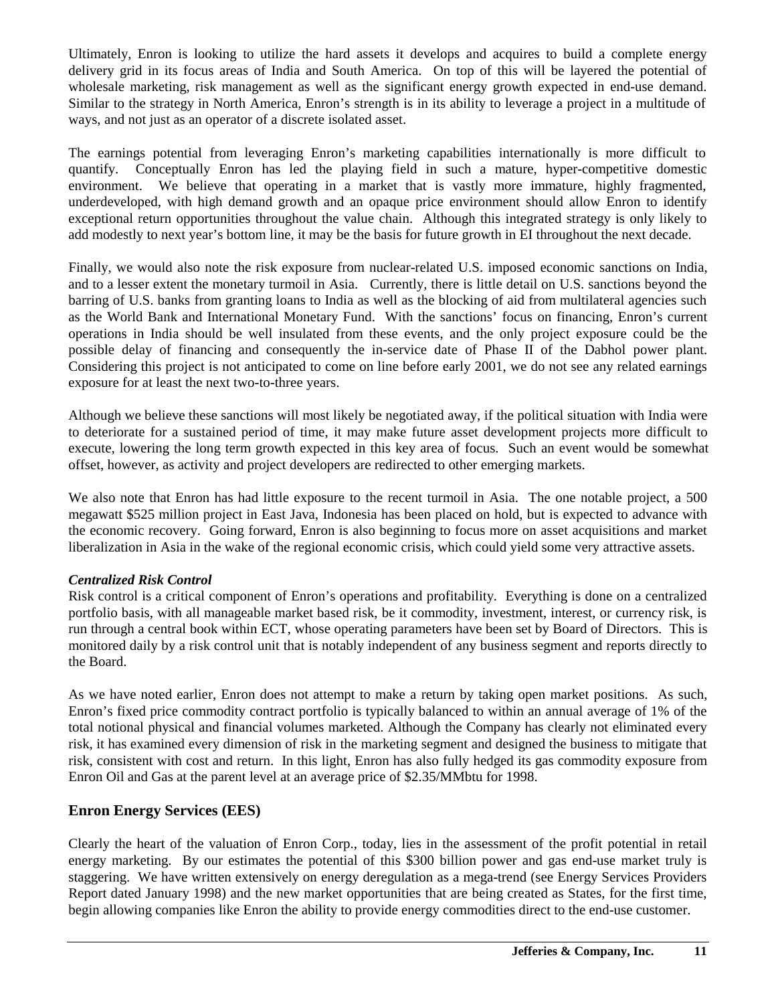Ultimately, Enron is looking to utilize the hard assets it develops and acquires to build a complete energy delivery grid in its focus areas of India and South America. On top of this will be layered the potential of wholesale marketing, risk management as well as the significant energy growth expected in end-use demand. Similar to the strategy in North America, Enron's strength is in its ability to leverage a project in a multitude of ways, and not just as an operator of a discrete isolated asset.

The earnings potential from leveraging Enron's marketing capabilities internationally is more difficult to quantify. Conceptually Enron has led the playing field in such a mature, hyper-competitive domestic environment. We believe that operating in a market that is vastly more immature, highly fragmented, underdeveloped, with high demand growth and an opaque price environment should allow Enron to identify exceptional return opportunities throughout the value chain. Although this integrated strategy is only likely to add modestly to next year's bottom line, it may be the basis for future growth in EI throughout the next decade.

Finally, we would also note the risk exposure from nuclear-related U.S. imposed economic sanctions on India, and to a lesser extent the monetary turmoil in Asia. Currently, there is little detail on U.S. sanctions beyond the barring of U.S. banks from granting loans to India as well as the blocking of aid from multilateral agencies such as the World Bank and International Monetary Fund. With the sanctions' focus on financing, Enron's current operations in India should be well insulated from these events, and the only project exposure could be the possible delay of financing and consequently the in-service date of Phase II of the Dabhol power plant. Considering this project is not anticipated to come on line before early 2001, we do not see any related earnings exposure for at least the next two-to-three years.

Although we believe these sanctions will most likely be negotiated away, if the political situation with India were to deteriorate for a sustained period of time, it may make future asset development projects more difficult to execute, lowering the long term growth expected in this key area of focus. Such an event would be somewhat offset, however, as activity and project developers are redirected to other emerging markets.

We also note that Enron has had little exposure to the recent turmoil in Asia. The one notable project, a 500 megawatt \$525 million project in East Java, Indonesia has been placed on hold, but is expected to advance with the economic recovery. Going forward, Enron is also beginning to focus more on asset acquisitions and market liberalization in Asia in the wake of the regional economic crisis, which could yield some very attractive assets.

#### *Centralized Risk Control*

Risk control is a critical component of Enron's operations and profitability. Everything is done on a centralized portfolio basis, with all manageable market based risk, be it commodity, investment, interest, or currency risk, is run through a central book within ECT, whose operating parameters have been set by Board of Directors. This is monitored daily by a risk control unit that is notably independent of any business segment and reports directly to the Board.

As we have noted earlier, Enron does not attempt to make a return by taking open market positions. As such, Enron's fixed price commodity contract portfolio is typically balanced to within an annual average of 1% of the total notional physical and financial volumes marketed. Although the Company has clearly not eliminated every risk, it has examined every dimension of risk in the marketing segment and designed the business to mitigate that risk, consistent with cost and return. In this light, Enron has also fully hedged its gas commodity exposure from Enron Oil and Gas at the parent level at an average price of \$2.35/MMbtu for 1998.

#### **Enron Energy Services (EES)**

Clearly the heart of the valuation of Enron Corp., today, lies in the assessment of the profit potential in retail energy marketing. By our estimates the potential of this \$300 billion power and gas end-use market truly is staggering. We have written extensively on energy deregulation as a mega-trend (see Energy Services Providers Report dated January 1998) and the new market opportunities that are being created as States, for the first time, begin allowing companies like Enron the ability to provide energy commodities direct to the end-use customer.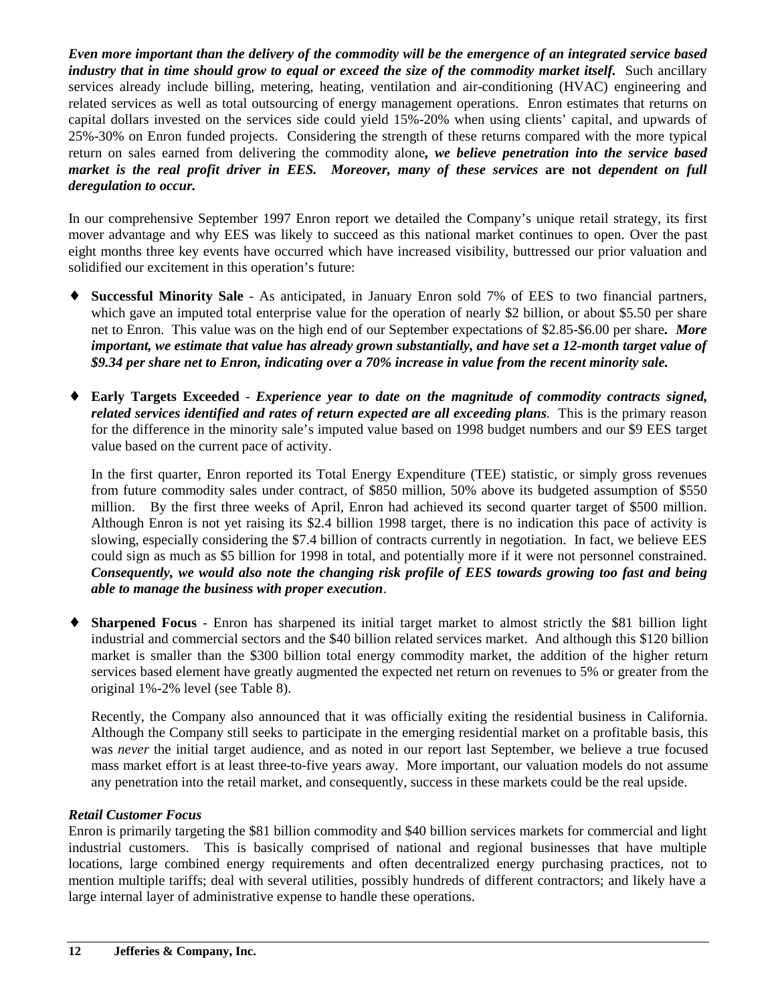*Even more important than the delivery of the commodity will be the emergence of an integrated service based industry that in time should grow to equal or exceed the size of the commodity market itself.* Such ancillary services already include billing, metering, heating, ventilation and air-conditioning (HVAC) engineering and related services as well as total outsourcing of energy management operations. Enron estimates that returns on capital dollars invested on the services side could yield 15%-20% when using clients' capital, and upwards of 25%-30% on Enron funded projects. Considering the strength of these returns compared with the more typical return on sales earned from delivering the commodity alone*, we believe penetration into the service based market is the real profit driver in EES. Moreover, many of these services* **are not** *dependent on full deregulation to occur.*

In our comprehensive September 1997 Enron report we detailed the Company's unique retail strategy, its first mover advantage and why EES was likely to succeed as this national market continues to open. Over the past eight months three key events have occurred which have increased visibility, buttressed our prior valuation and solidified our excitement in this operation's future:

- ♦ **Successful Minority Sale** As anticipated, in January Enron sold 7% of EES to two financial partners, which gave an imputed total enterprise value for the operation of nearly \$2 billion, or about \$5.50 per share net to Enron. This value was on the high end of our September expectations of \$2.85-\$6.00 per share*. More important, we estimate that value has already grown substantially, and have set a 12-month target value of \$9.34 per share net to Enron, indicating over a 70% increase in value from the recent minority sale.*
- ♦ **Early Targets Exceeded** *Experience year to date on the magnitude of commodity contracts signed, related services identified and rates of return expected are all exceeding plans*. This is the primary reason for the difference in the minority sale's imputed value based on 1998 budget numbers and our \$9 EES target value based on the current pace of activity.

In the first quarter, Enron reported its Total Energy Expenditure (TEE) statistic, or simply gross revenues from future commodity sales under contract, of \$850 million, 50% above its budgeted assumption of \$550 million. By the first three weeks of April, Enron had achieved its second quarter target of \$500 million. Although Enron is not yet raising its \$2.4 billion 1998 target, there is no indication this pace of activity is slowing, especially considering the \$7.4 billion of contracts currently in negotiation. In fact, we believe EES could sign as much as \$5 billion for 1998 in total, and potentially more if it were not personnel constrained. *Consequently, we would also note the changing risk profile of EES towards growing too fast and being able to manage the business with proper execution*.

**Sharpened Focus** - Enron has sharpened its initial target market to almost strictly the \$81 billion light industrial and commercial sectors and the \$40 billion related services market. And although this \$120 billion market is smaller than the \$300 billion total energy commodity market, the addition of the higher return services based element have greatly augmented the expected net return on revenues to 5% or greater from the original 1%-2% level (see Table 8).

Recently, the Company also announced that it was officially exiting the residential business in California. Although the Company still seeks to participate in the emerging residential market on a profitable basis, this was *never* the initial target audience, and as noted in our report last September, we believe a true focused mass market effort is at least three-to-five years away. More important, our valuation models do not assume any penetration into the retail market, and consequently, success in these markets could be the real upside.

#### *Retail Customer Focus*

Enron is primarily targeting the \$81 billion commodity and \$40 billion services markets for commercial and light industrial customers. This is basically comprised of national and regional businesses that have multiple locations, large combined energy requirements and often decentralized energy purchasing practices, not to mention multiple tariffs; deal with several utilities, possibly hundreds of different contractors; and likely have a large internal layer of administrative expense to handle these operations.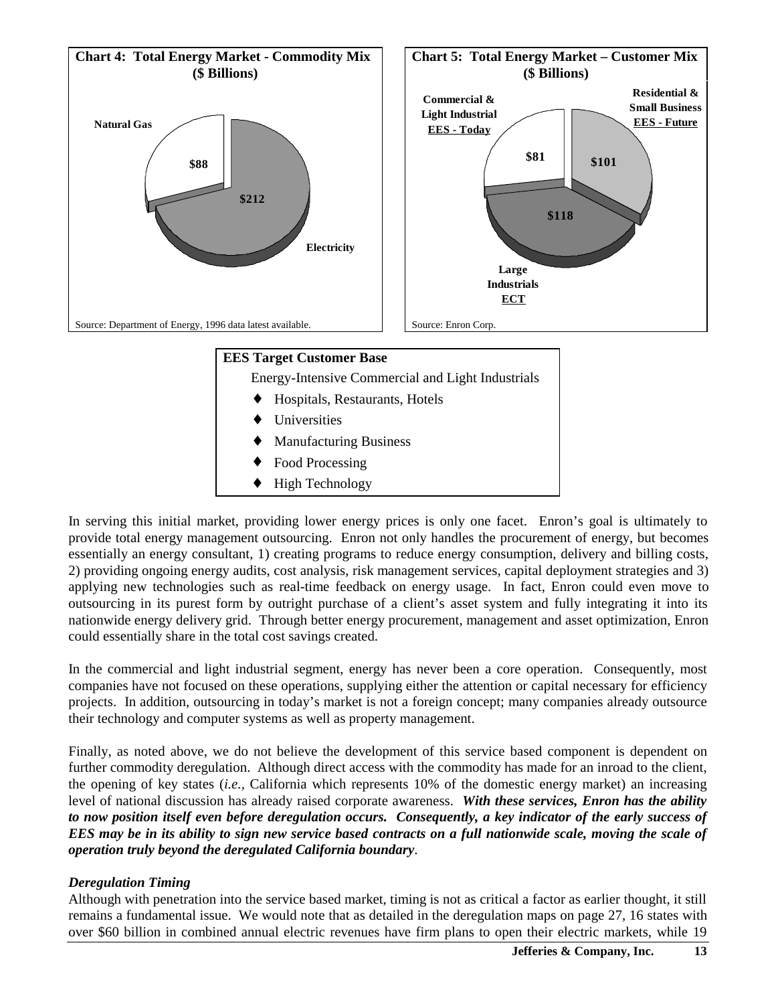

In serving this initial market, providing lower energy prices is only one facet. Enron's goal is ultimately to provide total energy management outsourcing. Enron not only handles the procurement of energy, but becomes essentially an energy consultant, 1) creating programs to reduce energy consumption, delivery and billing costs, 2) providing ongoing energy audits, cost analysis, risk management services, capital deployment strategies and 3) applying new technologies such as real-time feedback on energy usage. In fact, Enron could even move to outsourcing in its purest form by outright purchase of a client's asset system and fully integrating it into its nationwide energy delivery grid. Through better energy procurement, management and asset optimization, Enron could essentially share in the total cost savings created.

In the commercial and light industrial segment, energy has never been a core operation. Consequently, most companies have not focused on these operations, supplying either the attention or capital necessary for efficiency projects. In addition, outsourcing in today's market is not a foreign concept; many companies already outsource their technology and computer systems as well as property management.

Finally, as noted above, we do not believe the development of this service based component is dependent on further commodity deregulation. Although direct access with the commodity has made for an inroad to the client, the opening of key states (*i.e.,* California which represents 10% of the domestic energy market) an increasing level of national discussion has already raised corporate awareness. *With these services, Enron has the ability to now position itself even before deregulation occurs. Consequently, a key indicator of the early success of EES may be in its ability to sign new service based contracts on a full nationwide scale, moving the scale of operation truly beyond the deregulated California boundary*.

#### *Deregulation Timing*

Although with penetration into the service based market, timing is not as critical a factor as earlier thought, it still remains a fundamental issue. We would note that as detailed in the deregulation maps on page 27, 16 states with over \$60 billion in combined annual electric revenues have firm plans to open their electric markets, while 19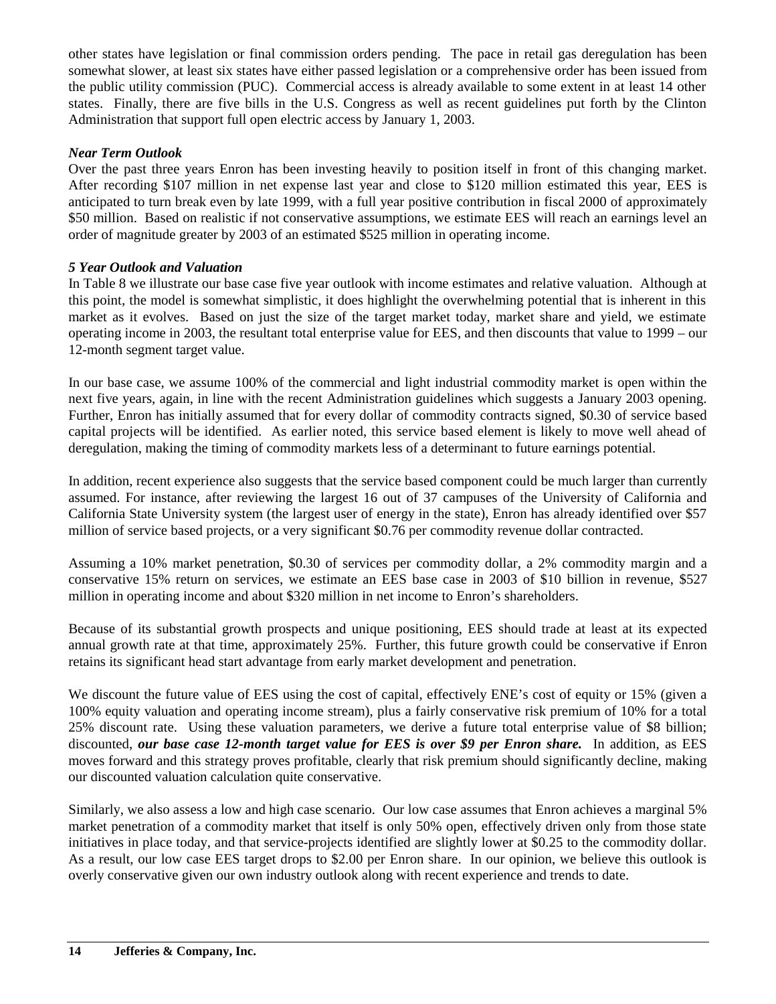other states have legislation or final commission orders pending. The pace in retail gas deregulation has been somewhat slower, at least six states have either passed legislation or a comprehensive order has been issued from the public utility commission (PUC). Commercial access is already available to some extent in at least 14 other states. Finally, there are five bills in the U.S. Congress as well as recent guidelines put forth by the Clinton Administration that support full open electric access by January 1, 2003.

#### *Near Term Outlook*

Over the past three years Enron has been investing heavily to position itself in front of this changing market. After recording \$107 million in net expense last year and close to \$120 million estimated this year, EES is anticipated to turn break even by late 1999, with a full year positive contribution in fiscal 2000 of approximately \$50 million. Based on realistic if not conservative assumptions, we estimate EES will reach an earnings level an order of magnitude greater by 2003 of an estimated \$525 million in operating income.

#### *5 Year Outlook and Valuation*

In Table 8 we illustrate our base case five year outlook with income estimates and relative valuation. Although at this point, the model is somewhat simplistic, it does highlight the overwhelming potential that is inherent in this market as it evolves. Based on just the size of the target market today, market share and yield, we estimate operating income in 2003, the resultant total enterprise value for EES, and then discounts that value to 1999 – our 12-month segment target value.

In our base case, we assume 100% of the commercial and light industrial commodity market is open within the next five years, again, in line with the recent Administration guidelines which suggests a January 2003 opening. Further, Enron has initially assumed that for every dollar of commodity contracts signed, \$0.30 of service based capital projects will be identified. As earlier noted, this service based element is likely to move well ahead of deregulation, making the timing of commodity markets less of a determinant to future earnings potential.

In addition, recent experience also suggests that the service based component could be much larger than currently assumed. For instance, after reviewing the largest 16 out of 37 campuses of the University of California and California State University system (the largest user of energy in the state), Enron has already identified over \$57 million of service based projects, or a very significant \$0.76 per commodity revenue dollar contracted.

Assuming a 10% market penetration, \$0.30 of services per commodity dollar, a 2% commodity margin and a conservative 15% return on services, we estimate an EES base case in 2003 of \$10 billion in revenue, \$527 million in operating income and about \$320 million in net income to Enron's shareholders.

Because of its substantial growth prospects and unique positioning, EES should trade at least at its expected annual growth rate at that time, approximately 25%. Further, this future growth could be conservative if Enron retains its significant head start advantage from early market development and penetration.

We discount the future value of EES using the cost of capital, effectively ENE's cost of equity or 15% (given a 100% equity valuation and operating income stream), plus a fairly conservative risk premium of 10% for a total 25% discount rate. Using these valuation parameters, we derive a future total enterprise value of \$8 billion; discounted, *our base case 12-month target value for EES is over \$9 per Enron share.*In addition, as EES moves forward and this strategy proves profitable, clearly that risk premium should significantly decline, making our discounted valuation calculation quite conservative.

Similarly, we also assess a low and high case scenario. Our low case assumes that Enron achieves a marginal 5% market penetration of a commodity market that itself is only 50% open, effectively driven only from those state initiatives in place today, and that service-projects identified are slightly lower at \$0.25 to the commodity dollar. As a result, our low case EES target drops to \$2.00 per Enron share. In our opinion, we believe this outlook is overly conservative given our own industry outlook along with recent experience and trends to date.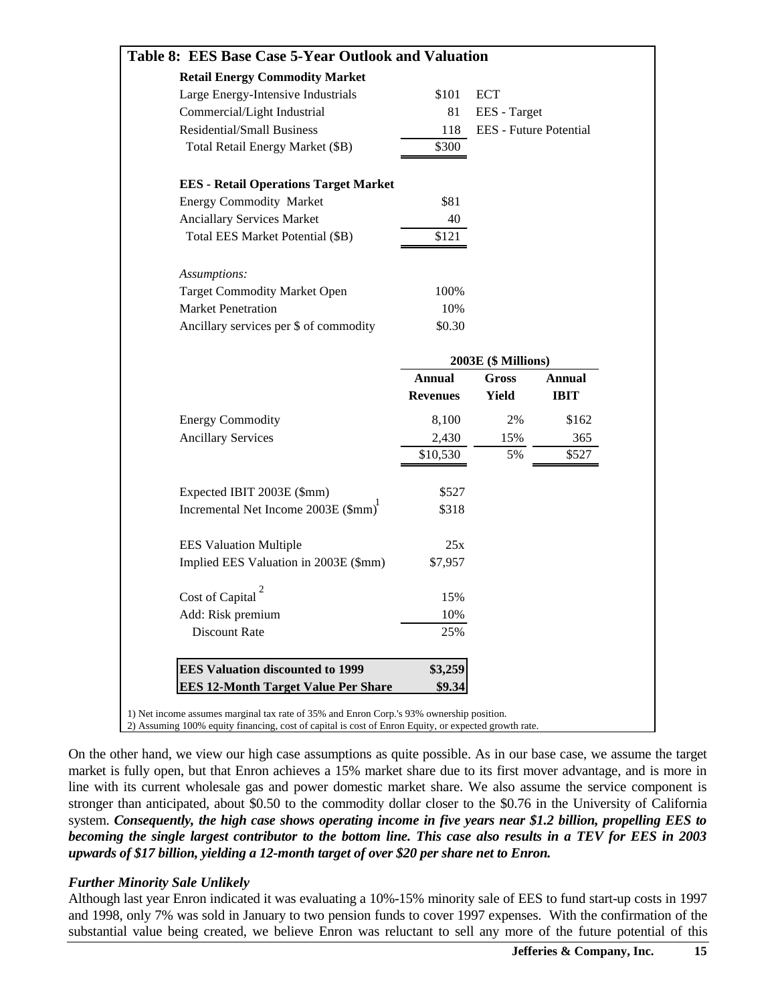| Table 8: EES Base Case 5-Year Outlook and Valuation |                 |                     |                        |
|-----------------------------------------------------|-----------------|---------------------|------------------------|
| <b>Retail Energy Commodity Market</b>               |                 |                     |                        |
| Large Energy-Intensive Industrials                  | \$101           | <b>ECT</b>          |                        |
| Commercial/Light Industrial                         | 81              | EES - Target        |                        |
| <b>Residential/Small Business</b>                   | 118             |                     | EES - Future Potential |
| Total Retail Energy Market (\$B)                    | \$300           |                     |                        |
| <b>EES</b> - Retail Operations Target Market        |                 |                     |                        |
| <b>Energy Commodity Market</b>                      | \$81            |                     |                        |
| <b>Anciallary Services Market</b>                   | 40              |                     |                        |
| Total EES Market Potential (\$B)                    | \$121           |                     |                        |
| Assumptions:                                        |                 |                     |                        |
| <b>Target Commodity Market Open</b>                 | 100%            |                     |                        |
| <b>Market Penetration</b>                           | 10%             |                     |                        |
| Ancillary services per \$ of commodity              | \$0.30          |                     |                        |
|                                                     |                 | 2003E (\$ Millions) |                        |
|                                                     | <b>Annual</b>   | Gross               | Annual                 |
|                                                     | <b>Revenues</b> | Yield               | <b>IBIT</b>            |
| <b>Energy Commodity</b>                             | 8,100           | 2%                  | \$162                  |
| <b>Ancillary Services</b>                           | 2,430           | 15%                 | 365                    |
|                                                     | \$10,530        | 5%                  | \$527                  |
| Expected IBIT 2003E (\$mm)                          | \$527           |                     |                        |
| Incremental Net Income 2003E (\$mm)                 | \$318           |                     |                        |
| <b>EES Valuation Multiple</b>                       | 25x             |                     |                        |
| Implied EES Valuation in 2003E (\$mm)               | \$7,957         |                     |                        |
| Cost of Capital                                     | 15%             |                     |                        |
|                                                     | 10%             |                     |                        |
|                                                     |                 |                     |                        |
| Add: Risk premium<br>Discount Rate                  | 25%             |                     |                        |
| <b>EES Valuation discounted to 1999</b>             | \$3,259         |                     |                        |

On the other hand, we view our high case assumptions as quite possible. As in our base case, we assume the target market is fully open, but that Enron achieves a 15% market share due to its first mover advantage, and is more in line with its current wholesale gas and power domestic market share. We also assume the service component is stronger than anticipated, about \$0.50 to the commodity dollar closer to the \$0.76 in the University of California system. *Consequently, the high case shows operating income in five years near \$1.2 billion, propelling EES to becoming the single largest contributor to the bottom line. This case also results in a TEV for EES in 2003 upwards of \$17 billion, yielding a 12-month target of over \$20 per share net to Enron.*

#### *Further Minority Sale Unlikely*

Although last year Enron indicated it was evaluating a 10%-15% minority sale of EES to fund start-up costs in 1997 and 1998, only 7% was sold in January to two pension funds to cover 1997 expenses. With the confirmation of the substantial value being created, we believe Enron was reluctant to sell any more of the future potential of this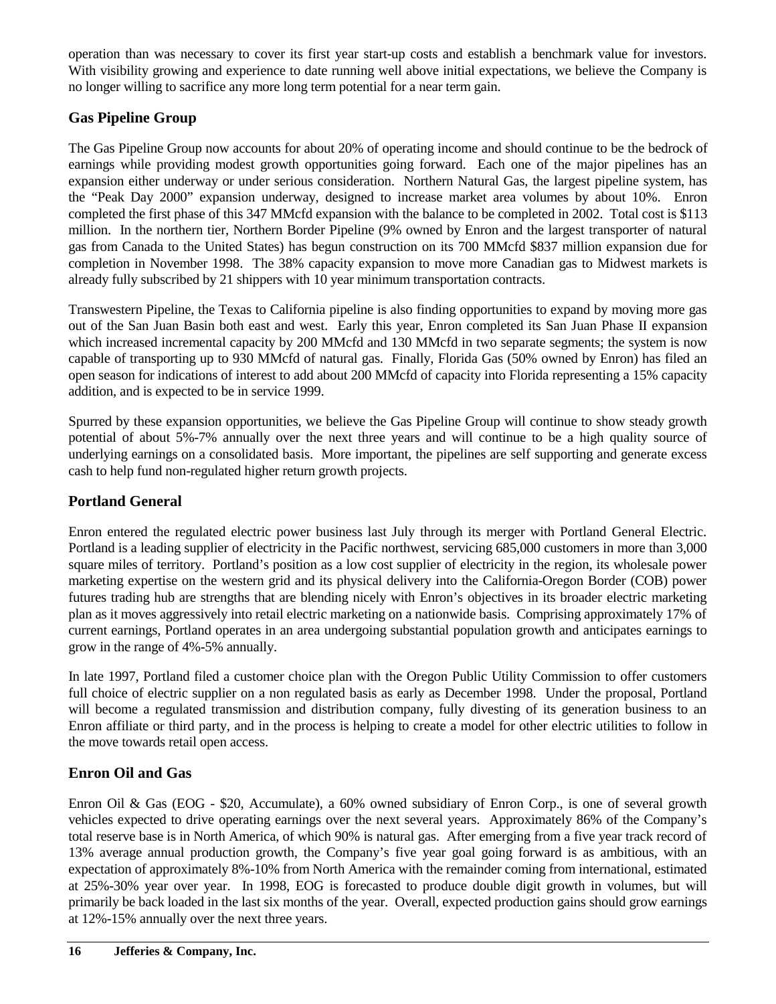operation than was necessary to cover its first year start-up costs and establish a benchmark value for investors. With visibility growing and experience to date running well above initial expectations, we believe the Company is no longer willing to sacrifice any more long term potential for a near term gain.

## **Gas Pipeline Group**

The Gas Pipeline Group now accounts for about 20% of operating income and should continue to be the bedrock of earnings while providing modest growth opportunities going forward. Each one of the major pipelines has an expansion either underway or under serious consideration. Northern Natural Gas, the largest pipeline system, has the "Peak Day 2000" expansion underway, designed to increase market area volumes by about 10%. Enron completed the first phase of this 347 MMcfd expansion with the balance to be completed in 2002. Total cost is \$113 million. In the northern tier, Northern Border Pipeline (9% owned by Enron and the largest transporter of natural gas from Canada to the United States) has begun construction on its 700 MMcfd \$837 million expansion due for completion in November 1998. The 38% capacity expansion to move more Canadian gas to Midwest markets is already fully subscribed by 21 shippers with 10 year minimum transportation contracts.

Transwestern Pipeline, the Texas to California pipeline is also finding opportunities to expand by moving more gas out of the San Juan Basin both east and west. Early this year, Enron completed its San Juan Phase II expansion which increased incremental capacity by 200 MMcfd and 130 MMcfd in two separate segments; the system is now capable of transporting up to 930 MMcfd of natural gas. Finally, Florida Gas (50% owned by Enron) has filed an open season for indications of interest to add about 200 MMcfd of capacity into Florida representing a 15% capacity addition, and is expected to be in service 1999.

Spurred by these expansion opportunities, we believe the Gas Pipeline Group will continue to show steady growth potential of about 5%-7% annually over the next three years and will continue to be a high quality source of underlying earnings on a consolidated basis. More important, the pipelines are self supporting and generate excess cash to help fund non-regulated higher return growth projects.

## **Portland General**

Enron entered the regulated electric power business last July through its merger with Portland General Electric. Portland is a leading supplier of electricity in the Pacific northwest, servicing 685,000 customers in more than 3,000 square miles of territory. Portland's position as a low cost supplier of electricity in the region, its wholesale power marketing expertise on the western grid and its physical delivery into the California-Oregon Border (COB) power futures trading hub are strengths that are blending nicely with Enron's objectives in its broader electric marketing plan as it moves aggressively into retail electric marketing on a nationwide basis. Comprising approximately 17% of current earnings, Portland operates in an area undergoing substantial population growth and anticipates earnings to grow in the range of 4%-5% annually.

In late 1997, Portland filed a customer choice plan with the Oregon Public Utility Commission to offer customers full choice of electric supplier on a non regulated basis as early as December 1998. Under the proposal, Portland will become a regulated transmission and distribution company, fully divesting of its generation business to an Enron affiliate or third party, and in the process is helping to create a model for other electric utilities to follow in the move towards retail open access.

# **Enron Oil and Gas**

Enron Oil & Gas (EOG - \$20, Accumulate), a 60% owned subsidiary of Enron Corp., is one of several growth vehicles expected to drive operating earnings over the next several years. Approximately 86% of the Company's total reserve base is in North America, of which 90% is natural gas. After emerging from a five year track record of 13% average annual production growth, the Company's five year goal going forward is as ambitious, with an expectation of approximately 8%-10% from North America with the remainder coming from international, estimated at 25%-30% year over year. In 1998, EOG is forecasted to produce double digit growth in volumes, but will primarily be back loaded in the last six months of the year. Overall, expected production gains should grow earnings at 12%-15% annually over the next three years.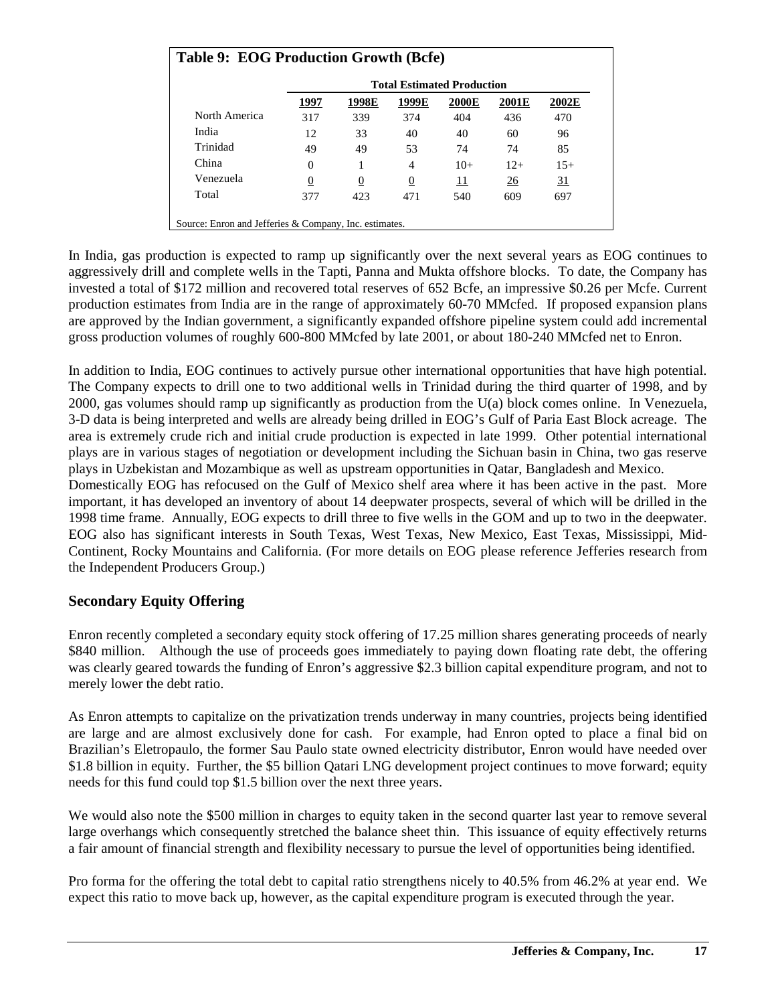|               |                  | <b>Total Estimated Production</b> |       |       |       |       |  |  |  |  |  |  |
|---------------|------------------|-----------------------------------|-------|-------|-------|-------|--|--|--|--|--|--|
|               | 1997             | 1998E                             | 1999E | 2000E | 2001E | 2002E |  |  |  |  |  |  |
| North America | 317              | 339                               | 374   | 404   | 436   | 470   |  |  |  |  |  |  |
| India         | 12               | 33                                | 40    | 40    | 60    | 96    |  |  |  |  |  |  |
| Trinidad      | 49               | 49                                | 53    | 74    | 74    | 85    |  |  |  |  |  |  |
| China         | $\Omega$         |                                   | 4     | $10+$ | $12+$ | $15+$ |  |  |  |  |  |  |
| Venezuela     | $\boldsymbol{0}$ | $\boldsymbol{0}$                  | 0     | 11    | 26    | 31    |  |  |  |  |  |  |
| Total         | 377              | 423                               | 471   | 540   | 609   | 697   |  |  |  |  |  |  |

In India, gas production is expected to ramp up significantly over the next several years as EOG continues to aggressively drill and complete wells in the Tapti, Panna and Mukta offshore blocks. To date, the Company has invested a total of \$172 million and recovered total reserves of 652 Bcfe, an impressive \$0.26 per Mcfe. Current production estimates from India are in the range of approximately 60-70 MMcfed. If proposed expansion plans are approved by the Indian government, a significantly expanded offshore pipeline system could add incremental gross production volumes of roughly 600-800 MMcfed by late 2001, or about 180-240 MMcfed net to Enron.

In addition to India, EOG continues to actively pursue other international opportunities that have high potential. The Company expects to drill one to two additional wells in Trinidad during the third quarter of 1998, and by 2000, gas volumes should ramp up significantly as production from the U(a) block comes online. In Venezuela, 3-D data is being interpreted and wells are already being drilled in EOG's Gulf of Paria East Block acreage. The area is extremely crude rich and initial crude production is expected in late 1999. Other potential international plays are in various stages of negotiation or development including the Sichuan basin in China, two gas reserve plays in Uzbekistan and Mozambique as well as upstream opportunities in Qatar, Bangladesh and Mexico.

Domestically EOG has refocused on the Gulf of Mexico shelf area where it has been active in the past. More important, it has developed an inventory of about 14 deepwater prospects, several of which will be drilled in the 1998 time frame. Annually, EOG expects to drill three to five wells in the GOM and up to two in the deepwater. EOG also has significant interests in South Texas, West Texas, New Mexico, East Texas, Mississippi, Mid-Continent, Rocky Mountains and California. (For more details on EOG please reference Jefferies research from the Independent Producers Group.)

#### **Secondary Equity Offering**

Enron recently completed a secondary equity stock offering of 17.25 million shares generating proceeds of nearly \$840 million. Although the use of proceeds goes immediately to paying down floating rate debt, the offering was clearly geared towards the funding of Enron's aggressive \$2.3 billion capital expenditure program, and not to merely lower the debt ratio.

As Enron attempts to capitalize on the privatization trends underway in many countries, projects being identified are large and are almost exclusively done for cash. For example, had Enron opted to place a final bid on Brazilian's Eletropaulo, the former Sau Paulo state owned electricity distributor, Enron would have needed over \$1.8 billion in equity. Further, the \$5 billion Qatari LNG development project continues to move forward; equity needs for this fund could top \$1.5 billion over the next three years.

We would also note the \$500 million in charges to equity taken in the second quarter last year to remove several large overhangs which consequently stretched the balance sheet thin. This issuance of equity effectively returns a fair amount of financial strength and flexibility necessary to pursue the level of opportunities being identified.

Pro forma for the offering the total debt to capital ratio strengthens nicely to 40.5% from 46.2% at year end. We expect this ratio to move back up, however, as the capital expenditure program is executed through the year.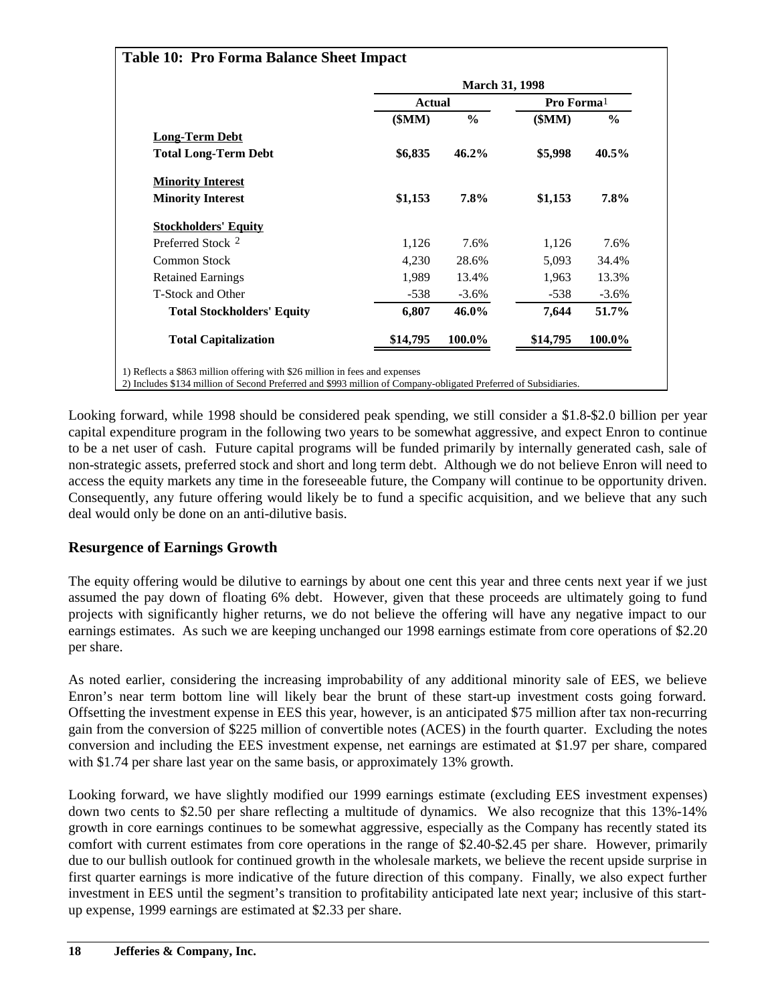|                                   |               | <b>March 31, 1998</b> |                        |          |  |
|-----------------------------------|---------------|-----------------------|------------------------|----------|--|
|                                   | <b>Actual</b> |                       | Pro Forma <sup>1</sup> |          |  |
|                                   | \$MM)         | $\frac{0}{0}$         | \$MM)                  | $\%$     |  |
| <b>Long-Term Debt</b>             |               |                       |                        |          |  |
| <b>Total Long-Term Debt</b>       | \$6,835       | 46.2%                 | \$5,998                | 40.5%    |  |
| <b>Minority Interest</b>          |               |                       |                        |          |  |
| <b>Minority Interest</b>          | \$1,153       | 7.8%                  | \$1,153                | 7.8%     |  |
| <b>Stockholders' Equity</b>       |               |                       |                        |          |  |
| Preferred Stock 2                 | 1,126         | 7.6%                  | 1,126                  | 7.6%     |  |
| Common Stock                      | 4,230         | 28.6%                 | 5,093                  | 34.4%    |  |
| <b>Retained Earnings</b>          | 1,989         | 13.4%                 | 1,963                  | 13.3%    |  |
| T-Stock and Other                 | $-538$        | $-3.6\%$              | $-538$                 | $-3.6\%$ |  |
| <b>Total Stockholders' Equity</b> | 6,807         | 46.0%                 | 7,644                  | 51.7%    |  |
| <b>Total Capitalization</b>       | \$14,795      | 100.0%                | \$14,795               | 100.0%   |  |

Looking forward, while 1998 should be considered peak spending, we still consider a \$1.8-\$2.0 billion per year capital expenditure program in the following two years to be somewhat aggressive, and expect Enron to continue to be a net user of cash. Future capital programs will be funded primarily by internally generated cash, sale of non-strategic assets, preferred stock and short and long term debt. Although we do not believe Enron will need to access the equity markets any time in the foreseeable future, the Company will continue to be opportunity driven. Consequently, any future offering would likely be to fund a specific acquisition, and we believe that any such deal would only be done on an anti-dilutive basis.

### **Resurgence of Earnings Growth**

The equity offering would be dilutive to earnings by about one cent this year and three cents next year if we just assumed the pay down of floating 6% debt. However, given that these proceeds are ultimately going to fund projects with significantly higher returns, we do not believe the offering will have any negative impact to our earnings estimates. As such we are keeping unchanged our 1998 earnings estimate from core operations of \$2.20 per share.

As noted earlier, considering the increasing improbability of any additional minority sale of EES, we believe Enron's near term bottom line will likely bear the brunt of these start-up investment costs going forward. Offsetting the investment expense in EES this year, however, is an anticipated \$75 million after tax non-recurring gain from the conversion of \$225 million of convertible notes (ACES) in the fourth quarter. Excluding the notes conversion and including the EES investment expense, net earnings are estimated at \$1.97 per share, compared with \$1.74 per share last year on the same basis, or approximately 13% growth.

Looking forward, we have slightly modified our 1999 earnings estimate (excluding EES investment expenses) down two cents to \$2.50 per share reflecting a multitude of dynamics. We also recognize that this 13%-14% growth in core earnings continues to be somewhat aggressive, especially as the Company has recently stated its comfort with current estimates from core operations in the range of \$2.40-\$2.45 per share. However, primarily due to our bullish outlook for continued growth in the wholesale markets, we believe the recent upside surprise in first quarter earnings is more indicative of the future direction of this company. Finally, we also expect further investment in EES until the segment's transition to profitability anticipated late next year; inclusive of this startup expense, 1999 earnings are estimated at \$2.33 per share.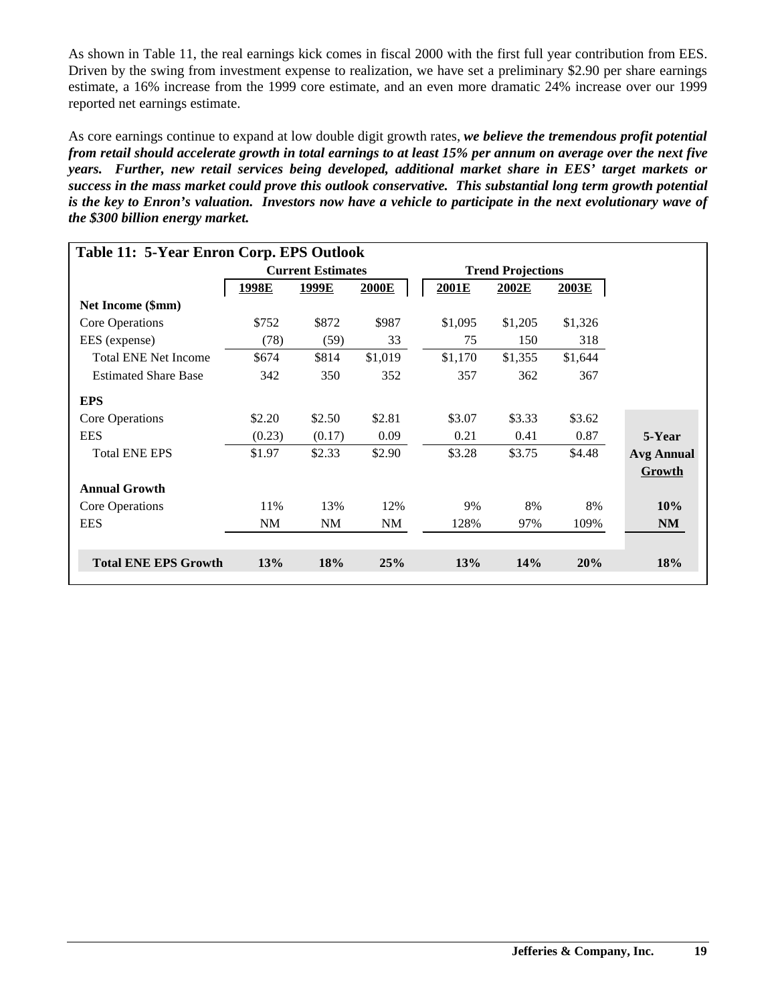As shown in Table 11, the real earnings kick comes in fiscal 2000 with the first full year contribution from EES. Driven by the swing from investment expense to realization, we have set a preliminary \$2.90 per share earnings estimate, a 16% increase from the 1999 core estimate, and an even more dramatic 24% increase over our 1999 reported net earnings estimate.

As core earnings continue to expand at low double digit growth rates, *we believe the tremendous profit potential from retail should accelerate growth in total earnings to at least 15% per annum on average over the next five years. Further, new retail services being developed, additional market share in EES' target markets or success in the mass market could prove this outlook conservative. This substantial long term growth potential is the key to Enron's valuation. Investors now have a vehicle to participate in the next evolutionary wave of the \$300 billion energy market.*

| Table 11: 5-Year Enron Corp. EPS Outlook |        |                          |         |         |                          |         |                   |
|------------------------------------------|--------|--------------------------|---------|---------|--------------------------|---------|-------------------|
|                                          |        | <b>Current Estimates</b> |         |         | <b>Trend Projections</b> |         |                   |
|                                          | 1998E  | <u>1999E</u>             | 2000E   | 2001E   | 2002E                    | 2003E   |                   |
| Net Income (\$mm)                        |        |                          |         |         |                          |         |                   |
| Core Operations                          | \$752  | \$872                    | \$987   | \$1,095 | \$1,205                  | \$1,326 |                   |
| EES (expense)                            | (78)   | (59)                     | 33      | 75      | 150                      | 318     |                   |
| <b>Total ENE Net Income</b>              | \$674  | \$814                    | \$1,019 | \$1,170 | \$1,355                  | \$1,644 |                   |
| <b>Estimated Share Base</b>              | 342    | 350                      | 352     | 357     | 362                      | 367     |                   |
| <b>EPS</b>                               |        |                          |         |         |                          |         |                   |
| Core Operations                          | \$2.20 | \$2.50                   | \$2.81  | \$3.07  | \$3.33                   | \$3.62  |                   |
| <b>EES</b>                               | (0.23) | (0.17)                   | 0.09    | 0.21    | 0.41                     | 0.87    | 5-Year            |
| <b>Total ENE EPS</b>                     | \$1.97 | \$2.33                   | \$2.90  | \$3.28  | \$3.75                   | \$4.48  | <b>Avg Annual</b> |
|                                          |        |                          |         |         |                          |         | Growth            |
| <b>Annual Growth</b>                     |        |                          |         |         |                          |         |                   |
| Core Operations                          | 11%    | 13%                      | 12%     | 9%      | 8%                       | 8%      | 10%               |
| <b>EES</b>                               | NM     | NM                       | NM      | 128%    | 97%                      | 109%    | NM                |
|                                          |        |                          |         |         |                          |         |                   |
| <b>Total ENE EPS Growth</b>              | 13%    | 18%                      | 25%     | 13%     | 14%                      | 20%     | 18%               |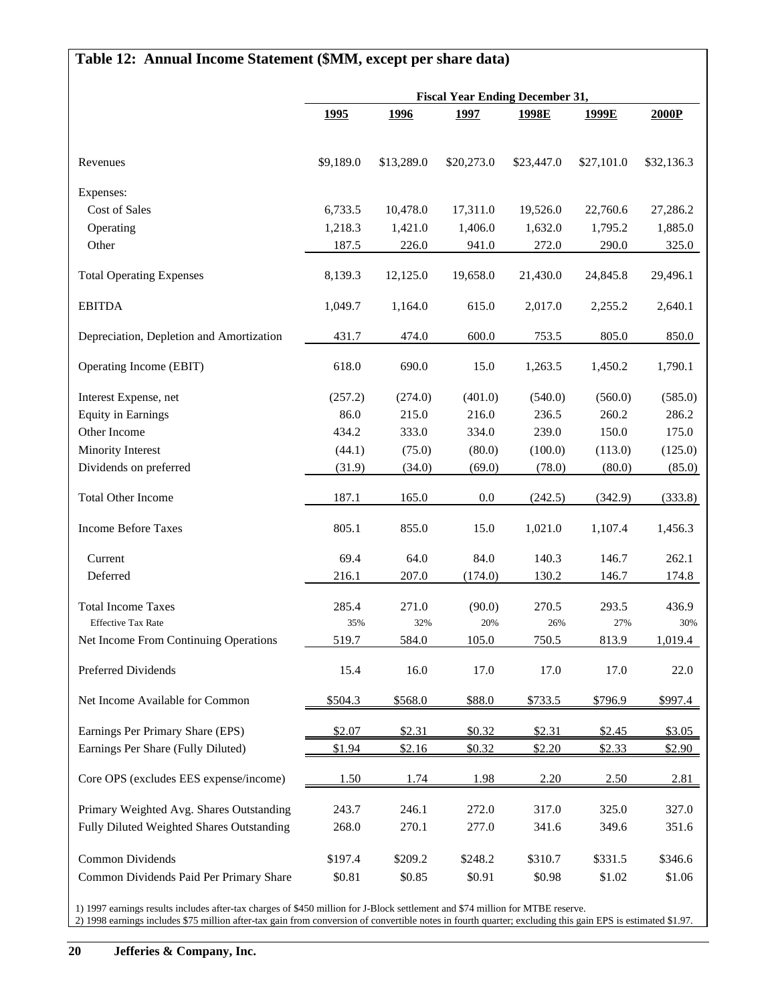# **Table 12: Annual Income Statement (\$MM, except per share data)**

|                                           | <b>Fiscal Year Ending December 31,</b> |             |             |            |            |            |
|-------------------------------------------|----------------------------------------|-------------|-------------|------------|------------|------------|
|                                           | 1995                                   | <u>1996</u> | <u>1997</u> | 1998E      | 1999E      | 2000P      |
| Revenues                                  | \$9,189.0                              | \$13,289.0  | \$20,273.0  | \$23,447.0 | \$27,101.0 | \$32,136.3 |
| Expenses:                                 |                                        |             |             |            |            |            |
| Cost of Sales                             | 6,733.5                                | 10,478.0    | 17,311.0    | 19,526.0   | 22,760.6   | 27,286.2   |
| Operating                                 | 1,218.3                                | 1,421.0     | 1,406.0     | 1,632.0    | 1,795.2    | 1,885.0    |
| Other                                     | 187.5                                  | 226.0       | 941.0       | 272.0      | 290.0      | 325.0      |
| <b>Total Operating Expenses</b>           | 8,139.3                                | 12,125.0    | 19,658.0    | 21,430.0   | 24,845.8   | 29,496.1   |
| <b>EBITDA</b>                             | 1,049.7                                | 1,164.0     | 615.0       | 2,017.0    | 2,255.2    | 2,640.1    |
| Depreciation, Depletion and Amortization  | 431.7                                  | 474.0       | 600.0       | 753.5      | 805.0      | 850.0      |
| Operating Income (EBIT)                   | 618.0                                  | 690.0       | 15.0        | 1,263.5    | 1,450.2    | 1,790.1    |
| Interest Expense, net                     | (257.2)                                | (274.0)     | (401.0)     | (540.0)    | (560.0)    | (585.0)    |
| <b>Equity in Earnings</b>                 | 86.0                                   | 215.0       | 216.0       | 236.5      | 260.2      | 286.2      |
| Other Income                              | 434.2                                  | 333.0       | 334.0       | 239.0      | 150.0      | 175.0      |
| Minority Interest                         | (44.1)                                 | (75.0)      | (80.0)      | (100.0)    | (113.0)    | (125.0)    |
| Dividends on preferred                    | (31.9)                                 | (34.0)      | (69.0)      | (78.0)     | (80.0)     | (85.0)     |
| <b>Total Other Income</b>                 | 187.1                                  | 165.0       | 0.0         | (242.5)    | (342.9)    | (333.8)    |
| <b>Income Before Taxes</b>                | 805.1                                  | 855.0       | 15.0        | 1,021.0    | 1,107.4    | 1,456.3    |
| Current                                   | 69.4                                   | 64.0        | 84.0        | 140.3      | 146.7      | 262.1      |
| Deferred                                  | 216.1                                  | 207.0       | (174.0)     | 130.2      | 146.7      | 174.8      |
| <b>Total Income Taxes</b>                 | 285.4                                  | 271.0       | (90.0)      | 270.5      | 293.5      | 436.9      |
| <b>Effective Tax Rate</b>                 | 35%                                    | 32%         | 20%         | 26%        | 27%        | 30%        |
| Net Income From Continuing Operations     | 519.7                                  | 584.0       | 105.0       | 750.5      | 813.9      | 1,019.4    |
| Preferred Dividends                       | 15.4                                   | 16.0        | 17.0        | 17.0       | 17.0       | 22.0       |
| Net Income Available for Common           | \$504.3                                | \$568.0     | \$88.0      | \$733.5    | \$796.9    | \$997.4    |
| Earnings Per Primary Share (EPS)          | \$2.07                                 | \$2.31      | \$0.32      | \$2.31     | \$2.45     | \$3.05     |
| Earnings Per Share (Fully Diluted)        | \$1.94                                 | \$2.16      | \$0.32      | \$2.20     | \$2.33     | \$2.90     |
| Core OPS (excludes EES expense/income)    | 1.50                                   | 1.74        | 1.98        | 2.20       | 2.50       | 2.81       |
| Primary Weighted Avg. Shares Outstanding  | 243.7                                  | 246.1       | 272.0       | 317.0      | 325.0      | 327.0      |
| Fully Diluted Weighted Shares Outstanding | 268.0                                  | 270.1       | 277.0       | 341.6      | 349.6      | 351.6      |
| Common Dividends                          | \$197.4                                | \$209.2     | \$248.2     | \$310.7    | \$331.5    | \$346.6    |
| Common Dividends Paid Per Primary Share   | \$0.81                                 | \$0.85      | \$0.91      | \$0.98     | \$1.02     | \$1.06     |

1) 1997 earnings results includes after-tax charges of \$450 million for J-Block settlement and \$74 million for MTBE reserve. 2) 1998 earnings includes \$75 million after-tax gain from conversion of convertible notes in fourth quarter; excluding this gain EPS is estimated \$1.97.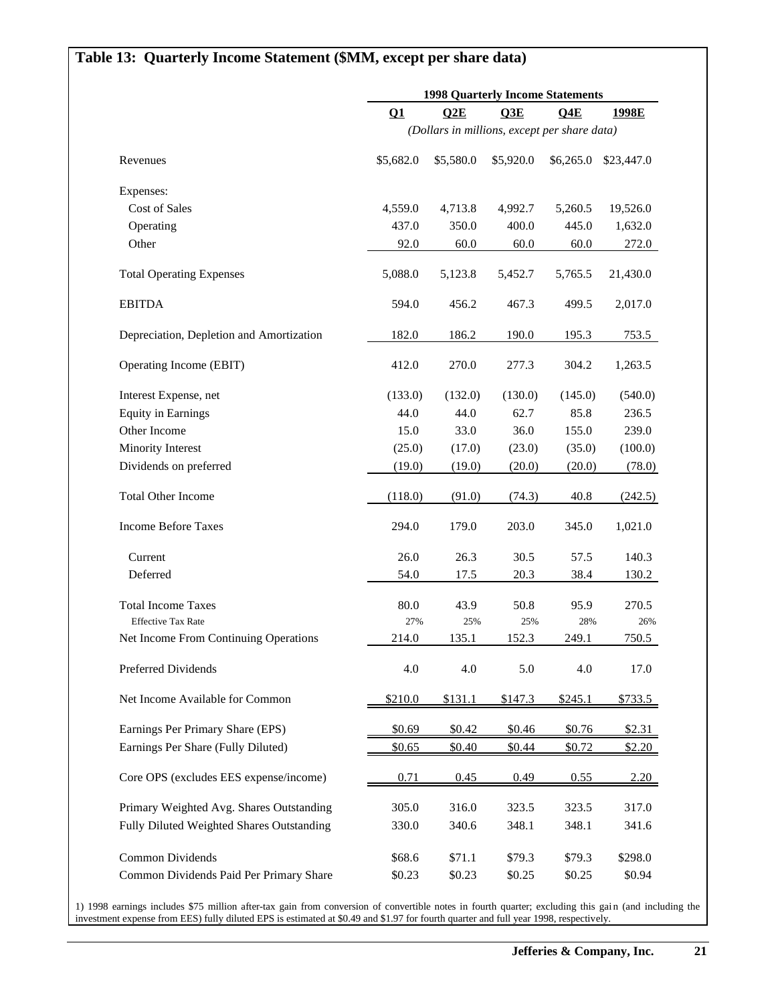## **Table 13: Quarterly Income Statement (\$MM, except per share data)**

|                                           | <b>1998 Quarterly Income Statements</b> |                                              |           |           |            |  |
|-------------------------------------------|-----------------------------------------|----------------------------------------------|-----------|-----------|------------|--|
|                                           | Q1                                      | Q2E                                          | Q3E       | Q4E       | 1998E      |  |
|                                           |                                         | (Dollars in millions, except per share data) |           |           |            |  |
| Revenues                                  | \$5,682.0                               | \$5,580.0                                    | \$5,920.0 | \$6,265.0 | \$23,447.0 |  |
| Expenses:                                 |                                         |                                              |           |           |            |  |
| <b>Cost of Sales</b>                      | 4,559.0                                 | 4,713.8                                      | 4,992.7   | 5,260.5   | 19,526.0   |  |
| Operating                                 | 437.0                                   | 350.0                                        | 400.0     | 445.0     | 1,632.0    |  |
| Other                                     | 92.0                                    | 60.0                                         | 60.0      | 60.0      | 272.0      |  |
| <b>Total Operating Expenses</b>           | 5,088.0                                 | 5,123.8                                      | 5,452.7   | 5,765.5   | 21,430.0   |  |
| <b>EBITDA</b>                             | 594.0                                   | 456.2                                        | 467.3     | 499.5     | 2,017.0    |  |
| Depreciation, Depletion and Amortization  | 182.0                                   | 186.2                                        | 190.0     | 195.3     | 753.5      |  |
| Operating Income (EBIT)                   | 412.0                                   | 270.0                                        | 277.3     | 304.2     | 1,263.5    |  |
| Interest Expense, net                     | (133.0)                                 | (132.0)                                      | (130.0)   | (145.0)   | (540.0)    |  |
| <b>Equity in Earnings</b>                 | 44.0                                    | 44.0                                         | 62.7      | 85.8      | 236.5      |  |
| Other Income                              | 15.0                                    | 33.0                                         | 36.0      | 155.0     | 239.0      |  |
| Minority Interest                         | (25.0)                                  | (17.0)                                       | (23.0)    | (35.0)    | (100.0)    |  |
| Dividends on preferred                    | (19.0)                                  | (19.0)                                       | (20.0)    | (20.0)    | (78.0)     |  |
| <b>Total Other Income</b>                 | (118.0)                                 | (91.0)                                       | (74.3)    | 40.8      | (242.5)    |  |
| <b>Income Before Taxes</b>                | 294.0                                   | 179.0                                        | 203.0     | 345.0     | 1,021.0    |  |
| Current                                   | 26.0                                    | 26.3                                         | 30.5      | 57.5      | 140.3      |  |
| Deferred                                  | 54.0                                    | 17.5                                         | 20.3      | 38.4      | 130.2      |  |
| <b>Total Income Taxes</b>                 | 80.0                                    | 43.9                                         | 50.8      | 95.9      | 270.5      |  |
| <b>Effective Tax Rate</b>                 | 27%                                     | 25%                                          | 25%       | 28%       | 26%        |  |
| Net Income From Continuing Operations     | 214.0                                   | 135.1                                        | 152.3     | 249.1     | 750.5      |  |
| Preferred Dividends                       | 4.0                                     | 4.0                                          | 5.0       | 4.0       | 17.0       |  |
| Net Income Available for Common           | \$210.0                                 | \$131.1                                      | \$147.3   | \$245.1   | \$733.5    |  |
| Earnings Per Primary Share (EPS)          | \$0.69                                  | \$0.42                                       | \$0.46    | \$0.76    | \$2.31     |  |
| Earnings Per Share (Fully Diluted)        | \$0.65                                  | \$0.40                                       | \$0.44    | \$0.72    | \$2.20     |  |
| Core OPS (excludes EES expense/income)    | 0.71                                    | 0.45                                         | 0.49      | 0.55      | 2.20       |  |
| Primary Weighted Avg. Shares Outstanding  | 305.0                                   | 316.0                                        | 323.5     | 323.5     | 317.0      |  |
| Fully Diluted Weighted Shares Outstanding | 330.0                                   | 340.6                                        | 348.1     | 348.1     | 341.6      |  |
| Common Dividends                          | \$68.6                                  | \$71.1                                       | \$79.3    | \$79.3    | \$298.0    |  |
| Common Dividends Paid Per Primary Share   | \$0.23                                  | \$0.23                                       | \$0.25    | \$0.25    | \$0.94     |  |

1) 1998 earnings includes \$75 million after-tax gain from conversion of convertible notes in fourth quarter; excluding this gai n (and including the investment expense from EES) fully diluted EPS is estimated at \$0.49 and \$1.97 for fourth quarter and full year 1998, respectively.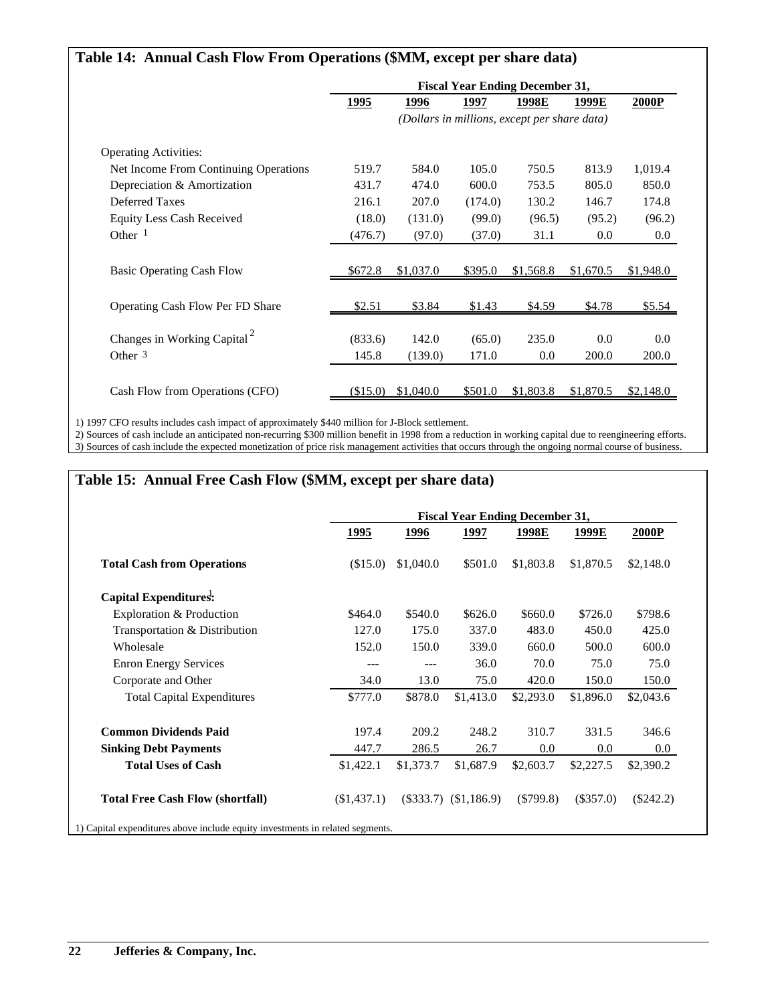| Table 14: Annual Cash Flow From Operations (\$MM, except per share data) |             |           |         |                                              |           |           |
|--------------------------------------------------------------------------|-------------|-----------|---------|----------------------------------------------|-----------|-----------|
|                                                                          |             |           |         | <b>Fiscal Year Ending December 31,</b>       |           |           |
|                                                                          | <u>1995</u> | 1996      | 1997    | 1998E                                        | 1999E     | 2000P     |
|                                                                          |             |           |         | (Dollars in millions, except per share data) |           |           |
| <b>Operating Activities:</b>                                             |             |           |         |                                              |           |           |
| Net Income From Continuing Operations                                    | 519.7       | 584.0     | 105.0   | 750.5                                        | 813.9     | 1,019.4   |
| Depreciation & Amortization                                              | 431.7       | 474.0     | 600.0   | 753.5                                        | 805.0     | 850.0     |
| Deferred Taxes                                                           | 216.1       | 207.0     | (174.0) | 130.2                                        | 146.7     | 174.8     |
| <b>Equity Less Cash Received</b>                                         | (18.0)      | (131.0)   | (99.0)  | (96.5)                                       | (95.2)    | (96.2)    |
| Other $1$                                                                | (476.7)     | (97.0)    | (37.0)  | 31.1                                         | 0.0       | $0.0\,$   |
| <b>Basic Operating Cash Flow</b>                                         | \$672.8     | \$1,037.0 | \$395.0 | \$1,568.8                                    | \$1,670.5 | \$1,948.0 |
| Operating Cash Flow Per FD Share                                         | \$2.51      | \$3.84    | \$1.43  | \$4.59                                       | \$4.78    | \$5.54    |
| Changes in Working Capital <sup>2</sup>                                  | (833.6)     | 142.0     | (65.0)  | 235.0                                        | 0.0       | 0.0       |
| Other $3$                                                                | 145.8       | (139.0)   | 171.0   | 0.0                                          | 200.0     | 200.0     |
| Cash Flow from Operations (CFO)                                          | (\$15.0)    | \$1,040.0 | \$501.0 | \$1,803.8                                    | \$1,870.5 | \$2,148.0 |

1) 1997 CFO results includes cash impact of approximately \$440 million for J-Block settlement.

2) Sources of cash include an anticipated non-recurring \$300 million benefit in 1998 from a reduction in working capital due to reengineering efforts. 3) Sources of cash include the expected monetization of price risk management activities that occurs through the ongoing normal course of business.

### **Table 15: Annual Free Cash Flow (\$MM, except per share data)**

|                                         |             |             | <b>Fiscal Year Ending December 31,</b> |             |             |             |
|-----------------------------------------|-------------|-------------|----------------------------------------|-------------|-------------|-------------|
|                                         | <u>1995</u> | <u>1996</u> | 1997                                   | 1998E       | 1999E       | 2000P       |
| <b>Total Cash from Operations</b>       | (\$15.0)    | \$1,040.0   | \$501.0                                | \$1,803.8   | \$1,870.5   | \$2,148.0   |
| Capital Expenditures:                   |             |             |                                        |             |             |             |
| Exploration & Production                | \$464.0     | \$540.0     | \$626.0                                | \$660.0     | \$726.0     | \$798.6     |
| Transportation & Distribution           | 127.0       | 175.0       | 337.0                                  | 483.0       | 450.0       | 425.0       |
| Wholesale                               | 152.0       | 150.0       | 339.0                                  | 660.0       | 500.0       | 600.0       |
| <b>Enron Energy Services</b>            | ---         | ---         | 36.0                                   | 70.0        | 75.0        | 75.0        |
| Corporate and Other                     | 34.0        | 13.0        | 75.0                                   | 420.0       | 150.0       | 150.0       |
| <b>Total Capital Expenditures</b>       | \$777.0     | \$878.0     | \$1,413.0                              | \$2,293.0   | \$1,896.0   | \$2,043.6   |
| <b>Common Dividends Paid</b>            | 197.4       | 209.2       | 248.2                                  | 310.7       | 331.5       | 346.6       |
| <b>Sinking Debt Payments</b>            | 447.7       | 286.5       | 26.7                                   | 0.0         | 0.0         | 0.0         |
| <b>Total Uses of Cash</b>               | \$1,422.1   | \$1,373.7   | \$1,687.9                              | \$2,603.7   | \$2,227.5   | \$2,390.2   |
| <b>Total Free Cash Flow (shortfall)</b> | (\$1,437.1) | $(\$333.7)$ | (\$1,186.9)                            | $(\$799.8)$ | $(\$357.0)$ | $(\$242.2)$ |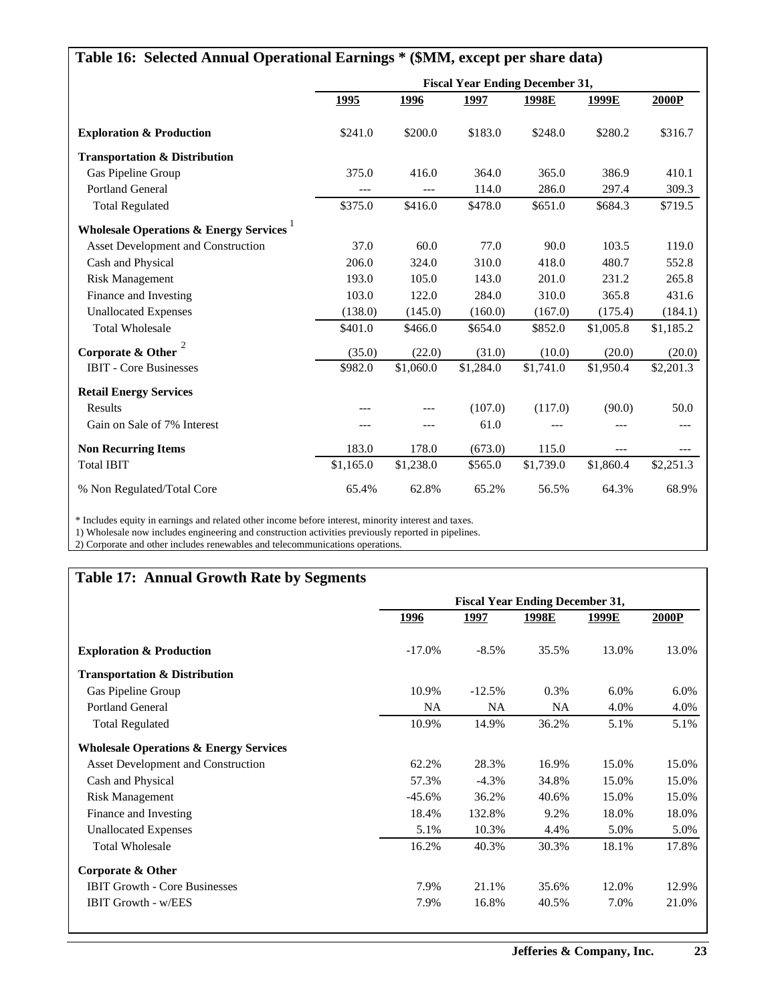| Table 16: Selected Annual Operational Earnings * (\$MM, except per share data) |           |           |           |                                        |           |           |  |  |
|--------------------------------------------------------------------------------|-----------|-----------|-----------|----------------------------------------|-----------|-----------|--|--|
|                                                                                |           |           |           | <b>Fiscal Year Ending December 31,</b> |           |           |  |  |
|                                                                                | 1995      | 1996      | 1997      | 1998E                                  | 1999E     | 2000P     |  |  |
| <b>Exploration &amp; Production</b>                                            | \$241.0   | \$200.0   | \$183.0   | \$248.0                                | \$280.2   | \$316.7   |  |  |
| <b>Transportation &amp; Distribution</b>                                       |           |           |           |                                        |           |           |  |  |
| Gas Pipeline Group                                                             | 375.0     | 416.0     | 364.0     | 365.0                                  | 386.9     | 410.1     |  |  |
| <b>Portland General</b>                                                        | $---$     | $---$     | 114.0     | 286.0                                  | 297.4     | 309.3     |  |  |
| <b>Total Regulated</b>                                                         | \$375.0   | \$416.0   | \$478.0   | \$651.0                                | \$684.3   | \$719.5   |  |  |
| Wholesale Operations & Energy Services <sup>1</sup>                            |           |           |           |                                        |           |           |  |  |
| Asset Development and Construction                                             | 37.0      | 60.0      | 77.0      | 90.0                                   | 103.5     | 119.0     |  |  |
| Cash and Physical                                                              | 206.0     | 324.0     | 310.0     | 418.0                                  | 480.7     | 552.8     |  |  |
| <b>Risk Management</b>                                                         | 193.0     | 105.0     | 143.0     | 201.0                                  | 231.2     | 265.8     |  |  |
| Finance and Investing                                                          | 103.0     | 122.0     | 284.0     | 310.0                                  | 365.8     | 431.6     |  |  |
| <b>Unallocated Expenses</b>                                                    | (138.0)   | (145.0)   | (160.0)   | (167.0)                                | (175.4)   | (184.1)   |  |  |
| <b>Total Wholesale</b>                                                         | \$401.0   | \$466.0   | \$654.0   | \$852.0                                | \$1,005.8 | \$1,185.2 |  |  |
| Corporate & Other                                                              | (35.0)    | (22.0)    | (31.0)    | (10.0)                                 | (20.0)    | (20.0)    |  |  |
| <b>IBIT</b> - Core Businesses                                                  | \$982.0   | \$1,060.0 | \$1,284.0 | \$1,741.0                              | \$1,950.4 | \$2,201.3 |  |  |
| <b>Retail Energy Services</b>                                                  |           |           |           |                                        |           |           |  |  |
| Results                                                                        |           |           | (107.0)   | (117.0)                                | (90.0)    | 50.0      |  |  |
| Gain on Sale of 7% Interest                                                    |           | ---       | 61.0      |                                        |           |           |  |  |
| <b>Non Recurring Items</b>                                                     | 183.0     | 178.0     | (673.0)   | 115.0                                  | $---$     | $---$     |  |  |
| <b>Total IBIT</b>                                                              | \$1,165.0 | \$1,238.0 | \$565.0   | \$1,739.0                              | \$1,860.4 | \$2,251.3 |  |  |
| % Non Regulated/Total Core                                                     | 65.4%     | 62.8%     | 65.2%     | 56.5%                                  | 64.3%     | 68.9%     |  |  |

\* Includes equity in earnings and related other income before interest, minority interest and taxes.

1) Wholesale now includes engineering and construction activities previously reported in pipelines.

2) Corporate and other includes renewables and telecommunications operations.

# **Table 17: Annual Growth Rate by Segments**

|                                                   | <b>Fiscal Year Ending December 31,</b> |           |           |       |       |  |
|---------------------------------------------------|----------------------------------------|-----------|-----------|-------|-------|--|
|                                                   | 1996                                   | 1997      | 1998E     | 1999E | 2000P |  |
| <b>Exploration &amp; Production</b>               | $-17.0\%$                              | $-8.5%$   | 35.5%     | 13.0% | 13.0% |  |
| <b>Transportation &amp; Distribution</b>          |                                        |           |           |       |       |  |
| Gas Pipeline Group                                | 10.9%                                  | $-12.5%$  | 0.3%      | 6.0%  | 6.0%  |  |
| Portland General                                  | <b>NA</b>                              | <b>NA</b> | <b>NA</b> | 4.0%  | 4.0%  |  |
| <b>Total Regulated</b>                            | 10.9%                                  | 14.9%     | 36.2%     | 5.1%  | 5.1%  |  |
| <b>Wholesale Operations &amp; Energy Services</b> |                                        |           |           |       |       |  |
| Asset Development and Construction                | 62.2%                                  | 28.3%     | 16.9%     | 15.0% | 15.0% |  |
| Cash and Physical                                 | 57.3%                                  | $-4.3%$   | 34.8%     | 15.0% | 15.0% |  |
| <b>Risk Management</b>                            | $-45.6\%$                              | 36.2%     | 40.6%     | 15.0% | 15.0% |  |
| Finance and Investing                             | 18.4%                                  | 132.8%    | 9.2%      | 18.0% | 18.0% |  |
| <b>Unallocated Expenses</b>                       | 5.1%                                   | 10.3%     | 4.4%      | 5.0%  | 5.0%  |  |
| <b>Total Wholesale</b>                            | 16.2%                                  | 40.3%     | 30.3%     | 18.1% | 17.8% |  |
| Corporate & Other                                 |                                        |           |           |       |       |  |
| <b>IBIT Growth - Core Businesses</b>              | 7.9%                                   | 21.1%     | 35.6%     | 12.0% | 12.9% |  |
| <b>IBIT Growth - w/EES</b>                        | 7.9%                                   | 16.8%     | 40.5%     | 7.0%  | 21.0% |  |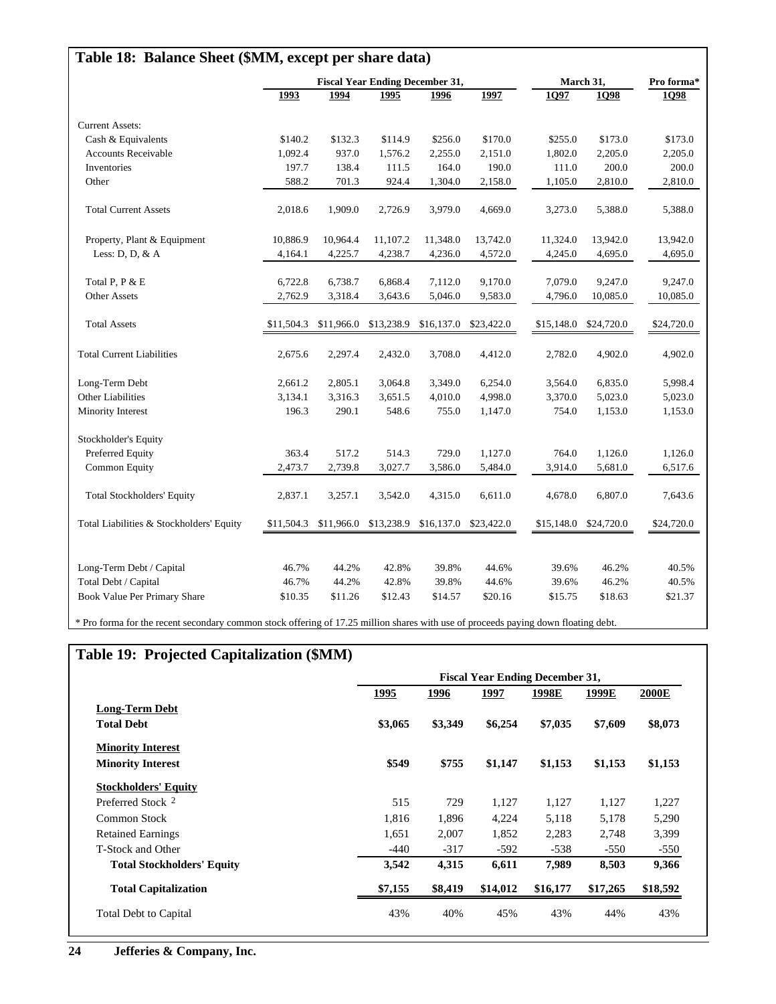| Table 18: Balance Sheet (\$MM, except per share data) |            |            |                                        |            |                       |            |                       |             |
|-------------------------------------------------------|------------|------------|----------------------------------------|------------|-----------------------|------------|-----------------------|-------------|
|                                                       |            |            | <b>Fiscal Year Ending December 31,</b> |            |                       |            | March 31,             | Pro forma*  |
|                                                       | 1993       | 1994       | 1995                                   | 1996       | 1997                  | 1Q97       | 1Q98                  | <b>1098</b> |
| <b>Current Assets:</b>                                |            |            |                                        |            |                       |            |                       |             |
| Cash & Equivalents                                    | \$140.2    | \$132.3    | \$114.9                                | \$256.0    | \$170.0               | \$255.0    | \$173.0               | \$173.0     |
| <b>Accounts Receivable</b>                            | 1,092.4    | 937.0      | 1,576.2                                | 2,255.0    | 2,151.0               | 1,802.0    | 2,205.0               | 2,205.0     |
| Inventories                                           | 197.7      | 138.4      | 111.5                                  | 164.0      | 190.0                 | 111.0      | 200.0                 | 200.0       |
| Other                                                 | 588.2      | 701.3      | 924.4                                  | 1,304.0    | 2,158.0               | 1,105.0    | 2,810.0               | 2,810.0     |
| <b>Total Current Assets</b>                           | 2,018.6    | 1,909.0    | 2,726.9                                | 3,979.0    | 4,669.0               | 3,273.0    | 5,388.0               | 5,388.0     |
| Property, Plant & Equipment                           | 10,886.9   | 10,964.4   | 11,107.2                               | 11,348.0   | 13,742.0              | 11,324.0   | 13,942.0              | 13,942.0    |
| Less: $D, D, \& A$                                    | 4,164.1    | 4,225.7    | 4,238.7                                | 4,236.0    | 4,572.0               | 4,245.0    | 4,695.0               | 4,695.0     |
| Total P, P & E                                        | 6,722.8    | 6,738.7    | 6,868.4                                | 7,112.0    | 9,170.0               | 7,079.0    | 9,247.0               | 9,247.0     |
| <b>Other Assets</b>                                   | 2,762.9    | 3,318.4    | 3,643.6                                | 5,046.0    | 9,583.0               | 4,796.0    | 10,085.0              | 10,085.0    |
| <b>Total Assets</b>                                   | \$11,504.3 | \$11,966.0 | \$13,238.9                             | \$16,137.0 | \$23,422.0            | \$15,148.0 | \$24,720.0            | \$24,720.0  |
| <b>Total Current Liabilities</b>                      | 2,675.6    | 2,297.4    | 2,432.0                                | 3,708.0    | 4,412.0               | 2,782.0    | 4,902.0               | 4,902.0     |
| Long-Term Debt                                        | 2,661.2    | 2,805.1    | 3,064.8                                | 3,349.0    | 6,254.0               | 3,564.0    | 6,835.0               | 5,998.4     |
| Other Liabilities                                     | 3,134.1    | 3,316.3    | 3,651.5                                | 4,010.0    | 4,998.0               | 3,370.0    | 5,023.0               | 5,023.0     |
| Minority Interest                                     | 196.3      | 290.1      | 548.6                                  | 755.0      | 1,147.0               | 754.0      | 1,153.0               | 1,153.0     |
| Stockholder's Equity                                  |            |            |                                        |            |                       |            |                       |             |
| Preferred Equity                                      | 363.4      | 517.2      | 514.3                                  | 729.0      | 1,127.0               | 764.0      | 1,126.0               | 1,126.0     |
| <b>Common Equity</b>                                  | 2,473.7    | 2,739.8    | 3,027.7                                | 3,586.0    | 5,484.0               | 3,914.0    | 5,681.0               | 6,517.6     |
| Total Stockholders' Equity                            | 2,837.1    | 3,257.1    | 3,542.0                                | 4,315.0    | 6,611.0               | 4,678.0    | 6,807.0               | 7,643.6     |
| Total Liabilities & Stockholders' Equity              |            |            | \$11,504.3 \$11,966.0 \$13,238.9       |            | \$16,137.0 \$23,422.0 |            | \$15,148.0 \$24,720.0 | \$24,720.0  |
|                                                       | 46.7%      | 44.2%      | 42.8%                                  | 39.8%      | 44.6%                 | 39.6%      | 46.2%                 | 40.5%       |
| Long-Term Debt / Capital<br>Total Debt / Capital      | 46.7%      | 44.2%      | 42.8%                                  | 39.8%      | 44.6%                 | 39.6%      | 46.2%                 | 40.5%       |
| Book Value Per Primary Share                          | \$10.35    | \$11.26    | \$12.43                                | \$14.57    | \$20.16               | \$15.75    | \$18.63               | \$21.37     |
|                                                       |            |            |                                        |            |                       |            |                       |             |

\* Pro forma for the recent secondary common stock offering of 17.25 million shares with use of proceeds paying down floating debt.

# **Table 19: Projected Capitalization (\$MM)**

|                                   | <b>Fiscal Year Ending December 31,</b> |         |             |          |          |              |
|-----------------------------------|----------------------------------------|---------|-------------|----------|----------|--------------|
|                                   | <u> 1995 </u>                          | 1996    | <u>1997</u> | 1998E    | 1999E    | <b>2000E</b> |
| <b>Long-Term Debt</b>             |                                        |         |             |          |          |              |
| <b>Total Debt</b>                 | \$3,065                                | \$3,349 | \$6,254     | \$7,035  | \$7,609  | \$8,073      |
| <b>Minority Interest</b>          |                                        |         |             |          |          |              |
| <b>Minority Interest</b>          | \$549                                  | \$755   | \$1,147     | \$1,153  | \$1,153  | \$1,153      |
| <b>Stockholders' Equity</b>       |                                        |         |             |          |          |              |
| Preferred Stock 2                 | 515                                    | 729     | 1,127       | 1,127    | 1,127    | 1,227        |
| Common Stock                      | 1,816                                  | 1,896   | 4,224       | 5,118    | 5,178    | 5,290        |
| <b>Retained Earnings</b>          | 1,651                                  | 2,007   | 1,852       | 2,283    | 2,748    | 3,399        |
| T-Stock and Other                 | -440                                   | $-317$  | $-592$      | $-538$   | $-550$   | $-550$       |
| <b>Total Stockholders' Equity</b> | 3,542                                  | 4,315   | 6,611       | 7,989    | 8,503    | 9,366        |
| <b>Total Capitalization</b>       | \$7,155                                | \$8,419 | \$14,012    | \$16,177 | \$17,265 | \$18,592     |
| <b>Total Debt to Capital</b>      | 43%                                    | 40%     | 45%         | 43%      | 44%      | 43%          |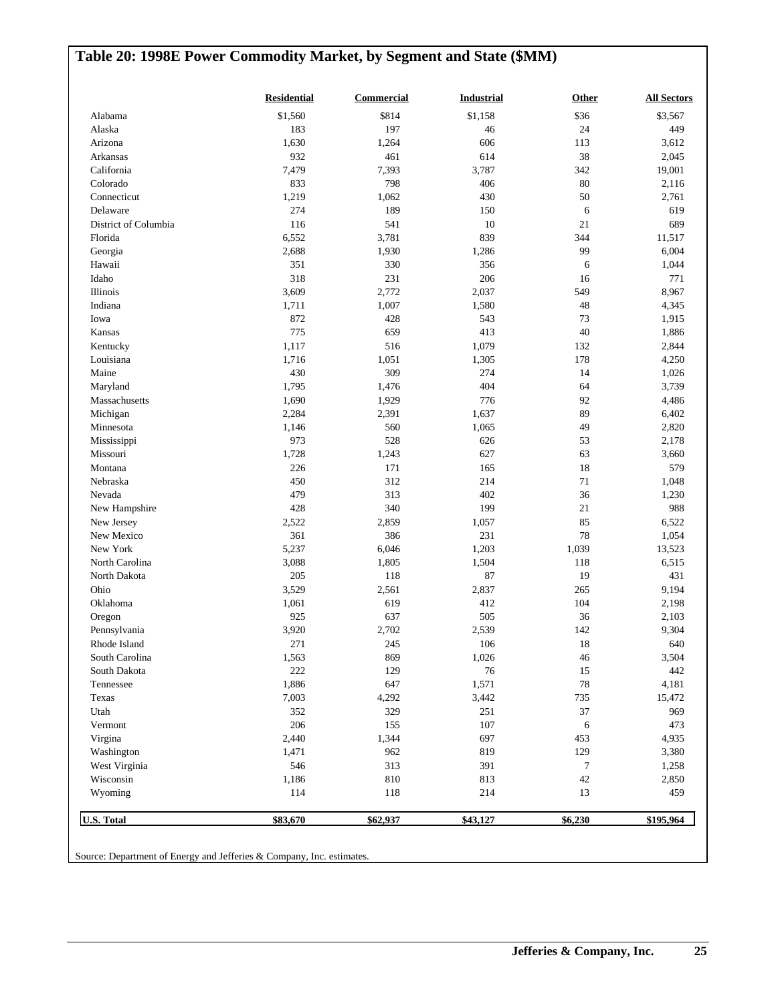# **Table 20: 1998E Power Commodity Market, by Segment and State (\$MM)**

| \$814<br>\$36<br>Alabama<br>\$1,560<br>\$1,158<br>183<br>197<br>24<br>Alaska<br>46<br>1,630<br>Arizona<br>1,264<br>606<br>113<br>932<br>38<br>Arkansas<br>461<br>614<br>7,479<br>3,787<br>California<br>7,393<br>342<br>833<br>798<br>406<br>80<br>Colorado<br>1,219<br>1,062<br>Connecticut<br>430<br>50<br>274<br>189<br>Delaware<br>150<br>6<br>116<br>541<br>$10\,$<br>District of Columbia<br>21<br>6,552<br>3,781<br>839<br>Florida<br>344<br>2,688<br>99<br>1,930<br>1,286<br>Georgia<br>351<br>330<br>356<br>Hawaii<br>6<br>318<br>231<br>Idaho<br>206<br>16<br>3,609<br>Illinois<br>2,772<br>2,037<br>549<br>1,007<br>48<br>Indiana<br>1,711<br>1,580<br>872<br>Iowa<br>428<br>543<br>73<br>775<br>659<br>413<br>40<br>Kansas<br>516<br>1,079<br>1,117<br>132<br>Kentucky<br>1,716<br>1,051<br>1,305<br>178<br>Louisiana<br>430<br>309<br>274<br>Maine<br>14<br>404<br>1,795<br>1,476<br>64<br>Maryland<br>1,690<br>Massachusetts<br>1,929<br>776<br>92<br>89<br>Michigan<br>2,284<br>2,391<br>1,637<br>49<br>1,146<br>560<br>1,065<br>Minnesota<br>973<br>528<br>53<br>626<br>Mississippi<br>1,728<br>Missouri<br>1,243<br>627<br>63<br>226<br>171<br>165<br>18<br>Montana<br>450<br>312<br>214<br>$71\,$<br>Nebraska<br>479<br>313<br>402<br>36<br>Nevada<br>428<br>340<br>199<br>$21\,$<br>New Hampshire<br>2,522<br>2,859<br>1,057<br>85<br>New Jersey<br>361<br>386<br>231<br>78<br>New Mexico<br>New York<br>5,237<br>6,046<br>1,203<br>1,039<br>3,088<br>1,805<br>North Carolina<br>1,504<br>118<br>205<br>87<br>North Dakota<br>118<br>19<br>3,529<br>Ohio<br>2,561<br>2,837<br>265<br>1,061<br>619<br>412<br>104<br>Oklahoma<br>925<br>637<br>505<br>36<br>Oregon<br>3,920<br>2,702<br>2,539<br>Pennsylvania<br>142<br>271<br>245<br>106<br>18<br>Rhode Island<br>South Carolina<br>1,563<br>869<br>1,026<br>46<br>222<br>129<br>$76\,$<br>South Dakota<br>15<br>1,886<br>1,571<br>647<br>$78\,$<br>Tennessee<br>7,003<br>4,292<br>3,442<br>735<br>Texas<br>Utah<br>352<br>329<br>251<br>37<br>206<br>155<br>107<br>Vermont<br>6<br>Virgina<br>2,440<br>1,344<br>697<br>453<br>962<br>819<br>Washington<br>1,471<br>129<br>West Virginia<br>546<br>313<br>391<br>7<br>Wisconsin<br>1,186<br>810<br>813<br>42<br>114<br>Wyoming<br>118<br>214<br>13 | <b>Residential</b> | <b>Commercial</b> | <b>Industrial</b> | Other | <b>All Sectors</b> |
|----------------------------------------------------------------------------------------------------------------------------------------------------------------------------------------------------------------------------------------------------------------------------------------------------------------------------------------------------------------------------------------------------------------------------------------------------------------------------------------------------------------------------------------------------------------------------------------------------------------------------------------------------------------------------------------------------------------------------------------------------------------------------------------------------------------------------------------------------------------------------------------------------------------------------------------------------------------------------------------------------------------------------------------------------------------------------------------------------------------------------------------------------------------------------------------------------------------------------------------------------------------------------------------------------------------------------------------------------------------------------------------------------------------------------------------------------------------------------------------------------------------------------------------------------------------------------------------------------------------------------------------------------------------------------------------------------------------------------------------------------------------------------------------------------------------------------------------------------------------------------------------------------------------------------------------------------------------------------------------------------------------------------------------------------------------------------------------------------------------------------------------------------------------------------------------------------------------------------------------------------------------------|--------------------|-------------------|-------------------|-------|--------------------|
|                                                                                                                                                                                                                                                                                                                                                                                                                                                                                                                                                                                                                                                                                                                                                                                                                                                                                                                                                                                                                                                                                                                                                                                                                                                                                                                                                                                                                                                                                                                                                                                                                                                                                                                                                                                                                                                                                                                                                                                                                                                                                                                                                                                                                                                                      |                    |                   |                   |       | \$3,567            |
|                                                                                                                                                                                                                                                                                                                                                                                                                                                                                                                                                                                                                                                                                                                                                                                                                                                                                                                                                                                                                                                                                                                                                                                                                                                                                                                                                                                                                                                                                                                                                                                                                                                                                                                                                                                                                                                                                                                                                                                                                                                                                                                                                                                                                                                                      |                    |                   |                   |       | 449                |
|                                                                                                                                                                                                                                                                                                                                                                                                                                                                                                                                                                                                                                                                                                                                                                                                                                                                                                                                                                                                                                                                                                                                                                                                                                                                                                                                                                                                                                                                                                                                                                                                                                                                                                                                                                                                                                                                                                                                                                                                                                                                                                                                                                                                                                                                      |                    |                   |                   |       | 3,612              |
|                                                                                                                                                                                                                                                                                                                                                                                                                                                                                                                                                                                                                                                                                                                                                                                                                                                                                                                                                                                                                                                                                                                                                                                                                                                                                                                                                                                                                                                                                                                                                                                                                                                                                                                                                                                                                                                                                                                                                                                                                                                                                                                                                                                                                                                                      |                    |                   |                   |       | 2,045              |
|                                                                                                                                                                                                                                                                                                                                                                                                                                                                                                                                                                                                                                                                                                                                                                                                                                                                                                                                                                                                                                                                                                                                                                                                                                                                                                                                                                                                                                                                                                                                                                                                                                                                                                                                                                                                                                                                                                                                                                                                                                                                                                                                                                                                                                                                      |                    |                   |                   |       | 19,001             |
|                                                                                                                                                                                                                                                                                                                                                                                                                                                                                                                                                                                                                                                                                                                                                                                                                                                                                                                                                                                                                                                                                                                                                                                                                                                                                                                                                                                                                                                                                                                                                                                                                                                                                                                                                                                                                                                                                                                                                                                                                                                                                                                                                                                                                                                                      |                    |                   |                   |       | 2,116              |
|                                                                                                                                                                                                                                                                                                                                                                                                                                                                                                                                                                                                                                                                                                                                                                                                                                                                                                                                                                                                                                                                                                                                                                                                                                                                                                                                                                                                                                                                                                                                                                                                                                                                                                                                                                                                                                                                                                                                                                                                                                                                                                                                                                                                                                                                      |                    |                   |                   |       | 2,761              |
|                                                                                                                                                                                                                                                                                                                                                                                                                                                                                                                                                                                                                                                                                                                                                                                                                                                                                                                                                                                                                                                                                                                                                                                                                                                                                                                                                                                                                                                                                                                                                                                                                                                                                                                                                                                                                                                                                                                                                                                                                                                                                                                                                                                                                                                                      |                    |                   |                   |       | 619                |
|                                                                                                                                                                                                                                                                                                                                                                                                                                                                                                                                                                                                                                                                                                                                                                                                                                                                                                                                                                                                                                                                                                                                                                                                                                                                                                                                                                                                                                                                                                                                                                                                                                                                                                                                                                                                                                                                                                                                                                                                                                                                                                                                                                                                                                                                      |                    |                   |                   |       | 689                |
|                                                                                                                                                                                                                                                                                                                                                                                                                                                                                                                                                                                                                                                                                                                                                                                                                                                                                                                                                                                                                                                                                                                                                                                                                                                                                                                                                                                                                                                                                                                                                                                                                                                                                                                                                                                                                                                                                                                                                                                                                                                                                                                                                                                                                                                                      |                    |                   |                   |       | 11,517             |
|                                                                                                                                                                                                                                                                                                                                                                                                                                                                                                                                                                                                                                                                                                                                                                                                                                                                                                                                                                                                                                                                                                                                                                                                                                                                                                                                                                                                                                                                                                                                                                                                                                                                                                                                                                                                                                                                                                                                                                                                                                                                                                                                                                                                                                                                      |                    |                   |                   |       | 6,004              |
|                                                                                                                                                                                                                                                                                                                                                                                                                                                                                                                                                                                                                                                                                                                                                                                                                                                                                                                                                                                                                                                                                                                                                                                                                                                                                                                                                                                                                                                                                                                                                                                                                                                                                                                                                                                                                                                                                                                                                                                                                                                                                                                                                                                                                                                                      |                    |                   |                   |       | 1,044              |
|                                                                                                                                                                                                                                                                                                                                                                                                                                                                                                                                                                                                                                                                                                                                                                                                                                                                                                                                                                                                                                                                                                                                                                                                                                                                                                                                                                                                                                                                                                                                                                                                                                                                                                                                                                                                                                                                                                                                                                                                                                                                                                                                                                                                                                                                      |                    |                   |                   |       | 771                |
|                                                                                                                                                                                                                                                                                                                                                                                                                                                                                                                                                                                                                                                                                                                                                                                                                                                                                                                                                                                                                                                                                                                                                                                                                                                                                                                                                                                                                                                                                                                                                                                                                                                                                                                                                                                                                                                                                                                                                                                                                                                                                                                                                                                                                                                                      |                    |                   |                   |       | 8,967              |
|                                                                                                                                                                                                                                                                                                                                                                                                                                                                                                                                                                                                                                                                                                                                                                                                                                                                                                                                                                                                                                                                                                                                                                                                                                                                                                                                                                                                                                                                                                                                                                                                                                                                                                                                                                                                                                                                                                                                                                                                                                                                                                                                                                                                                                                                      |                    |                   |                   |       | 4,345              |
|                                                                                                                                                                                                                                                                                                                                                                                                                                                                                                                                                                                                                                                                                                                                                                                                                                                                                                                                                                                                                                                                                                                                                                                                                                                                                                                                                                                                                                                                                                                                                                                                                                                                                                                                                                                                                                                                                                                                                                                                                                                                                                                                                                                                                                                                      |                    |                   |                   |       | 1,915              |
|                                                                                                                                                                                                                                                                                                                                                                                                                                                                                                                                                                                                                                                                                                                                                                                                                                                                                                                                                                                                                                                                                                                                                                                                                                                                                                                                                                                                                                                                                                                                                                                                                                                                                                                                                                                                                                                                                                                                                                                                                                                                                                                                                                                                                                                                      |                    |                   |                   |       | 1,886              |
|                                                                                                                                                                                                                                                                                                                                                                                                                                                                                                                                                                                                                                                                                                                                                                                                                                                                                                                                                                                                                                                                                                                                                                                                                                                                                                                                                                                                                                                                                                                                                                                                                                                                                                                                                                                                                                                                                                                                                                                                                                                                                                                                                                                                                                                                      |                    |                   |                   |       | 2,844              |
|                                                                                                                                                                                                                                                                                                                                                                                                                                                                                                                                                                                                                                                                                                                                                                                                                                                                                                                                                                                                                                                                                                                                                                                                                                                                                                                                                                                                                                                                                                                                                                                                                                                                                                                                                                                                                                                                                                                                                                                                                                                                                                                                                                                                                                                                      |                    |                   |                   |       | 4,250              |
|                                                                                                                                                                                                                                                                                                                                                                                                                                                                                                                                                                                                                                                                                                                                                                                                                                                                                                                                                                                                                                                                                                                                                                                                                                                                                                                                                                                                                                                                                                                                                                                                                                                                                                                                                                                                                                                                                                                                                                                                                                                                                                                                                                                                                                                                      |                    |                   |                   |       | 1,026              |
|                                                                                                                                                                                                                                                                                                                                                                                                                                                                                                                                                                                                                                                                                                                                                                                                                                                                                                                                                                                                                                                                                                                                                                                                                                                                                                                                                                                                                                                                                                                                                                                                                                                                                                                                                                                                                                                                                                                                                                                                                                                                                                                                                                                                                                                                      |                    |                   |                   |       | 3,739              |
|                                                                                                                                                                                                                                                                                                                                                                                                                                                                                                                                                                                                                                                                                                                                                                                                                                                                                                                                                                                                                                                                                                                                                                                                                                                                                                                                                                                                                                                                                                                                                                                                                                                                                                                                                                                                                                                                                                                                                                                                                                                                                                                                                                                                                                                                      |                    |                   |                   |       | 4,486              |
|                                                                                                                                                                                                                                                                                                                                                                                                                                                                                                                                                                                                                                                                                                                                                                                                                                                                                                                                                                                                                                                                                                                                                                                                                                                                                                                                                                                                                                                                                                                                                                                                                                                                                                                                                                                                                                                                                                                                                                                                                                                                                                                                                                                                                                                                      |                    |                   |                   |       | 6,402              |
|                                                                                                                                                                                                                                                                                                                                                                                                                                                                                                                                                                                                                                                                                                                                                                                                                                                                                                                                                                                                                                                                                                                                                                                                                                                                                                                                                                                                                                                                                                                                                                                                                                                                                                                                                                                                                                                                                                                                                                                                                                                                                                                                                                                                                                                                      |                    |                   |                   |       | 2,820              |
|                                                                                                                                                                                                                                                                                                                                                                                                                                                                                                                                                                                                                                                                                                                                                                                                                                                                                                                                                                                                                                                                                                                                                                                                                                                                                                                                                                                                                                                                                                                                                                                                                                                                                                                                                                                                                                                                                                                                                                                                                                                                                                                                                                                                                                                                      |                    |                   |                   |       | 2,178              |
|                                                                                                                                                                                                                                                                                                                                                                                                                                                                                                                                                                                                                                                                                                                                                                                                                                                                                                                                                                                                                                                                                                                                                                                                                                                                                                                                                                                                                                                                                                                                                                                                                                                                                                                                                                                                                                                                                                                                                                                                                                                                                                                                                                                                                                                                      |                    |                   |                   |       | 3,660              |
|                                                                                                                                                                                                                                                                                                                                                                                                                                                                                                                                                                                                                                                                                                                                                                                                                                                                                                                                                                                                                                                                                                                                                                                                                                                                                                                                                                                                                                                                                                                                                                                                                                                                                                                                                                                                                                                                                                                                                                                                                                                                                                                                                                                                                                                                      |                    |                   |                   |       | 579                |
|                                                                                                                                                                                                                                                                                                                                                                                                                                                                                                                                                                                                                                                                                                                                                                                                                                                                                                                                                                                                                                                                                                                                                                                                                                                                                                                                                                                                                                                                                                                                                                                                                                                                                                                                                                                                                                                                                                                                                                                                                                                                                                                                                                                                                                                                      |                    |                   |                   |       | 1,048              |
|                                                                                                                                                                                                                                                                                                                                                                                                                                                                                                                                                                                                                                                                                                                                                                                                                                                                                                                                                                                                                                                                                                                                                                                                                                                                                                                                                                                                                                                                                                                                                                                                                                                                                                                                                                                                                                                                                                                                                                                                                                                                                                                                                                                                                                                                      |                    |                   |                   |       | 1,230              |
|                                                                                                                                                                                                                                                                                                                                                                                                                                                                                                                                                                                                                                                                                                                                                                                                                                                                                                                                                                                                                                                                                                                                                                                                                                                                                                                                                                                                                                                                                                                                                                                                                                                                                                                                                                                                                                                                                                                                                                                                                                                                                                                                                                                                                                                                      |                    |                   |                   |       | 988                |
|                                                                                                                                                                                                                                                                                                                                                                                                                                                                                                                                                                                                                                                                                                                                                                                                                                                                                                                                                                                                                                                                                                                                                                                                                                                                                                                                                                                                                                                                                                                                                                                                                                                                                                                                                                                                                                                                                                                                                                                                                                                                                                                                                                                                                                                                      |                    |                   |                   |       | 6,522              |
|                                                                                                                                                                                                                                                                                                                                                                                                                                                                                                                                                                                                                                                                                                                                                                                                                                                                                                                                                                                                                                                                                                                                                                                                                                                                                                                                                                                                                                                                                                                                                                                                                                                                                                                                                                                                                                                                                                                                                                                                                                                                                                                                                                                                                                                                      |                    |                   |                   |       | 1,054              |
|                                                                                                                                                                                                                                                                                                                                                                                                                                                                                                                                                                                                                                                                                                                                                                                                                                                                                                                                                                                                                                                                                                                                                                                                                                                                                                                                                                                                                                                                                                                                                                                                                                                                                                                                                                                                                                                                                                                                                                                                                                                                                                                                                                                                                                                                      |                    |                   |                   |       | 13,523             |
|                                                                                                                                                                                                                                                                                                                                                                                                                                                                                                                                                                                                                                                                                                                                                                                                                                                                                                                                                                                                                                                                                                                                                                                                                                                                                                                                                                                                                                                                                                                                                                                                                                                                                                                                                                                                                                                                                                                                                                                                                                                                                                                                                                                                                                                                      |                    |                   |                   |       | 6,515              |
|                                                                                                                                                                                                                                                                                                                                                                                                                                                                                                                                                                                                                                                                                                                                                                                                                                                                                                                                                                                                                                                                                                                                                                                                                                                                                                                                                                                                                                                                                                                                                                                                                                                                                                                                                                                                                                                                                                                                                                                                                                                                                                                                                                                                                                                                      |                    |                   |                   |       | 431                |
|                                                                                                                                                                                                                                                                                                                                                                                                                                                                                                                                                                                                                                                                                                                                                                                                                                                                                                                                                                                                                                                                                                                                                                                                                                                                                                                                                                                                                                                                                                                                                                                                                                                                                                                                                                                                                                                                                                                                                                                                                                                                                                                                                                                                                                                                      |                    |                   |                   |       | 9,194              |
|                                                                                                                                                                                                                                                                                                                                                                                                                                                                                                                                                                                                                                                                                                                                                                                                                                                                                                                                                                                                                                                                                                                                                                                                                                                                                                                                                                                                                                                                                                                                                                                                                                                                                                                                                                                                                                                                                                                                                                                                                                                                                                                                                                                                                                                                      |                    |                   |                   |       | 2,198              |
|                                                                                                                                                                                                                                                                                                                                                                                                                                                                                                                                                                                                                                                                                                                                                                                                                                                                                                                                                                                                                                                                                                                                                                                                                                                                                                                                                                                                                                                                                                                                                                                                                                                                                                                                                                                                                                                                                                                                                                                                                                                                                                                                                                                                                                                                      |                    |                   |                   |       | 2,103              |
|                                                                                                                                                                                                                                                                                                                                                                                                                                                                                                                                                                                                                                                                                                                                                                                                                                                                                                                                                                                                                                                                                                                                                                                                                                                                                                                                                                                                                                                                                                                                                                                                                                                                                                                                                                                                                                                                                                                                                                                                                                                                                                                                                                                                                                                                      |                    |                   |                   |       | 9,304              |
|                                                                                                                                                                                                                                                                                                                                                                                                                                                                                                                                                                                                                                                                                                                                                                                                                                                                                                                                                                                                                                                                                                                                                                                                                                                                                                                                                                                                                                                                                                                                                                                                                                                                                                                                                                                                                                                                                                                                                                                                                                                                                                                                                                                                                                                                      |                    |                   |                   |       | 640                |
|                                                                                                                                                                                                                                                                                                                                                                                                                                                                                                                                                                                                                                                                                                                                                                                                                                                                                                                                                                                                                                                                                                                                                                                                                                                                                                                                                                                                                                                                                                                                                                                                                                                                                                                                                                                                                                                                                                                                                                                                                                                                                                                                                                                                                                                                      |                    |                   |                   |       | 3,504              |
|                                                                                                                                                                                                                                                                                                                                                                                                                                                                                                                                                                                                                                                                                                                                                                                                                                                                                                                                                                                                                                                                                                                                                                                                                                                                                                                                                                                                                                                                                                                                                                                                                                                                                                                                                                                                                                                                                                                                                                                                                                                                                                                                                                                                                                                                      |                    |                   |                   |       | 442                |
|                                                                                                                                                                                                                                                                                                                                                                                                                                                                                                                                                                                                                                                                                                                                                                                                                                                                                                                                                                                                                                                                                                                                                                                                                                                                                                                                                                                                                                                                                                                                                                                                                                                                                                                                                                                                                                                                                                                                                                                                                                                                                                                                                                                                                                                                      |                    |                   |                   |       | 4,181              |
|                                                                                                                                                                                                                                                                                                                                                                                                                                                                                                                                                                                                                                                                                                                                                                                                                                                                                                                                                                                                                                                                                                                                                                                                                                                                                                                                                                                                                                                                                                                                                                                                                                                                                                                                                                                                                                                                                                                                                                                                                                                                                                                                                                                                                                                                      |                    |                   |                   |       | 15,472             |
|                                                                                                                                                                                                                                                                                                                                                                                                                                                                                                                                                                                                                                                                                                                                                                                                                                                                                                                                                                                                                                                                                                                                                                                                                                                                                                                                                                                                                                                                                                                                                                                                                                                                                                                                                                                                                                                                                                                                                                                                                                                                                                                                                                                                                                                                      |                    |                   |                   |       | 969                |
|                                                                                                                                                                                                                                                                                                                                                                                                                                                                                                                                                                                                                                                                                                                                                                                                                                                                                                                                                                                                                                                                                                                                                                                                                                                                                                                                                                                                                                                                                                                                                                                                                                                                                                                                                                                                                                                                                                                                                                                                                                                                                                                                                                                                                                                                      |                    |                   |                   |       | 473                |
|                                                                                                                                                                                                                                                                                                                                                                                                                                                                                                                                                                                                                                                                                                                                                                                                                                                                                                                                                                                                                                                                                                                                                                                                                                                                                                                                                                                                                                                                                                                                                                                                                                                                                                                                                                                                                                                                                                                                                                                                                                                                                                                                                                                                                                                                      |                    |                   |                   |       | 4,935              |
|                                                                                                                                                                                                                                                                                                                                                                                                                                                                                                                                                                                                                                                                                                                                                                                                                                                                                                                                                                                                                                                                                                                                                                                                                                                                                                                                                                                                                                                                                                                                                                                                                                                                                                                                                                                                                                                                                                                                                                                                                                                                                                                                                                                                                                                                      |                    |                   |                   |       | 3,380              |
|                                                                                                                                                                                                                                                                                                                                                                                                                                                                                                                                                                                                                                                                                                                                                                                                                                                                                                                                                                                                                                                                                                                                                                                                                                                                                                                                                                                                                                                                                                                                                                                                                                                                                                                                                                                                                                                                                                                                                                                                                                                                                                                                                                                                                                                                      |                    |                   |                   |       | 1,258              |
|                                                                                                                                                                                                                                                                                                                                                                                                                                                                                                                                                                                                                                                                                                                                                                                                                                                                                                                                                                                                                                                                                                                                                                                                                                                                                                                                                                                                                                                                                                                                                                                                                                                                                                                                                                                                                                                                                                                                                                                                                                                                                                                                                                                                                                                                      |                    |                   |                   |       | 2,850              |
|                                                                                                                                                                                                                                                                                                                                                                                                                                                                                                                                                                                                                                                                                                                                                                                                                                                                                                                                                                                                                                                                                                                                                                                                                                                                                                                                                                                                                                                                                                                                                                                                                                                                                                                                                                                                                                                                                                                                                                                                                                                                                                                                                                                                                                                                      |                    |                   |                   |       | 459                |
| U.S. Total<br>\$83,670<br>\$62,937<br>\$43,127<br>\$6,230                                                                                                                                                                                                                                                                                                                                                                                                                                                                                                                                                                                                                                                                                                                                                                                                                                                                                                                                                                                                                                                                                                                                                                                                                                                                                                                                                                                                                                                                                                                                                                                                                                                                                                                                                                                                                                                                                                                                                                                                                                                                                                                                                                                                            |                    |                   |                   |       | \$195,964          |

Source: Department of Energy and Jefferies & Company, Inc. estimates.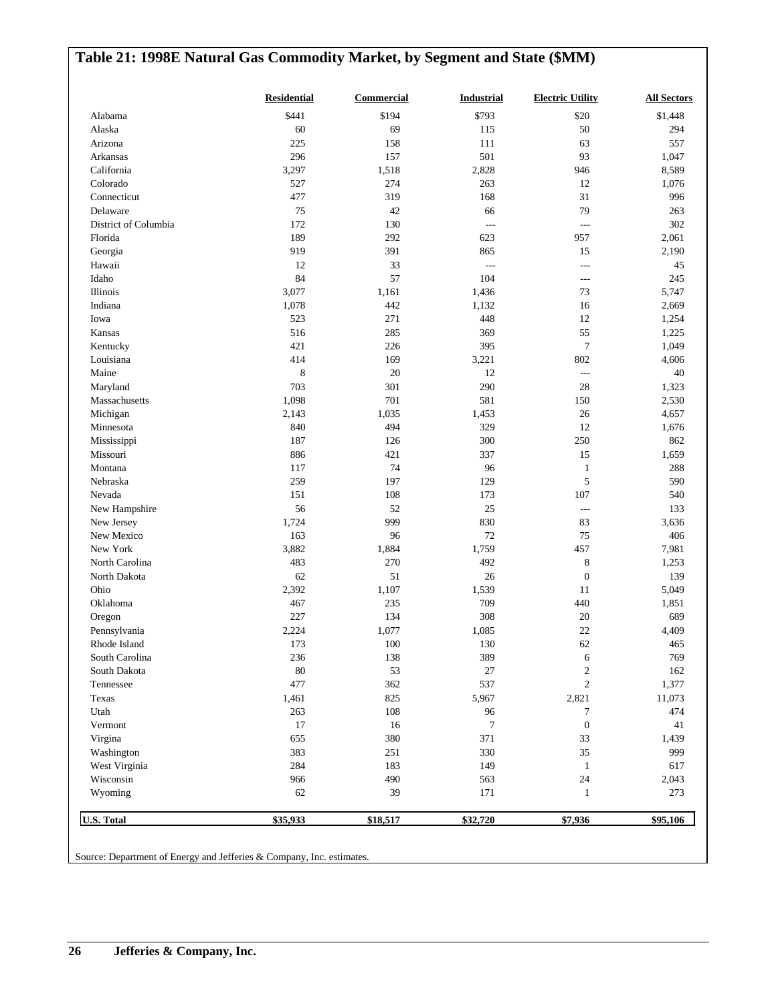# **Table 21: 1998E Natural Gas Commodity Market, by Segment and State (\$MM) Residential Commercial Industrial Electric Utility All Sectors** Alabama \$441 \$194 \$793 \$20 \$1,448 Alaska 60 69 115 50 294 Arizona 111 63 557 Arkansas 296 157 501 93 1,047 California 3,297 1,518 2,828 946 8,589

|                      | \$35,933    | \$18,517 | \$32,720         | \$7,936          | \$95,106 |
|----------------------|-------------|----------|------------------|------------------|----------|
| Wyoming              | 62          | 39       | 171              | $\mathbf{1}$     | 273      |
| Wisconsin            | 966         | 490      | 563              | $24\,$           | 2,043    |
| West Virginia        | 284         | 183      | 149              | 1                | 617      |
| Washington           | 383         | 251      | 330              | 35               | 999      |
| Virgina              | 655         | 380      | 371              | 33               | 1,439    |
| Vermont              | 17          | 16       | $\boldsymbol{7}$ | $\boldsymbol{0}$ | 41       |
| Utah                 | 263         | 108      | 96               | 7                | 474      |
| Texas                | 1,461       | 825      | 5,967            | 2,821            | 11,073   |
| Tennessee            | 477         | 362      | 537              | $\sqrt{2}$       | 1,377    |
| South Dakota         | 80          | 53       | 27               | $\mathfrak{2}$   | 162      |
| South Carolina       | 236         | 138      | 389              | 6                | 769      |
| Rhode Island         | 173         | 100      | 130              | 62               | 465      |
| Pennsylvania         | 2,224       | 1,077    | 1,085            | $22\,$           | 4,409    |
| Oregon               | 227         | 134      | 308              | $20\,$           | 689      |
| Oklahoma             | 467         | 235      | 709              | 440              | 1,851    |
| Ohio                 | 2,392       | 1,107    | 1,539            | 11               | 5,049    |
| North Dakota         | 62          | 51       | 26               | $\boldsymbol{0}$ | 139      |
| North Carolina       | 483         | 270      | 492              | $\,8\,$          | 1,253    |
| New York             | 3,882       | 1,884    | 1,759            | 457              | 7,981    |
| New Mexico           | 163         | 96       | $72\,$           | $75\,$           | 406      |
| New Jersey           | 1,724       | 999      | 830              | 83               | 3,636    |
| New Hampshire        | 56          | 52       | $25\,$           | $\overline{a}$   | 133      |
| Nevada               | 151         | 108      | 173              | 107              | 540      |
| Nebraska             | 259         | 197      | 129              | 5                | 590      |
| Montana              | 117         | 74       | 96               | $\mathbf{1}$     | 288      |
| Missouri             | 886         | 421      | 337              | 15               | 1,659    |
| Mississippi          | 187         | 126      | 300              | 250              | 862      |
| Minnesota            | 840         | 494      | 329              | $12\,$           | 1,676    |
| Michigan             | 2,143       | 1,035    | 1,453            | $26\,$           | 4,657    |
| Massachusetts        | 1,098       | 701      | 581              | 150              | 2,530    |
| Maryland             | 703         | 301      | 290              | 28               | 1,323    |
| Maine                | $\,$ 8 $\,$ | $20\,$   | 12               | $\overline{a}$   | 40       |
| Louisiana            | 414         | 169      | 3,221            | 802              | 4,606    |
| Kentucky             | 421         | 226      | 395              | $\tau$           | 1,049    |
| Kansas               | 516         | 285      | 369              | 55               | 1,225    |
| Iowa                 | 523         | 271      | 448              | 12               | 1,254    |
| Indiana              | 1,078       | 442      | 1,132            | 16               | 2,669    |
| Illinois             | 3,077       | 1,161    | 1,436            | 73               | 5,747    |
| Idaho                | 84          | 57       | 104              | ---              | 245      |
| Hawaii               | 12          | 33       | $\overline{a}$   | ---              | 45       |
| Georgia              | 919         | 391      | 865              | 15               | 2,190    |
| Florida              | 189         | 292      | 623              | 957              | 2,061    |
| District of Columbia | 172         | 130      | $\overline{a}$   | $---$            | 302      |
| Delaware             | 75          | 42       | 66               | 79               | 263      |
| Connecticut          | 477         | 319      | 168              | 31               | 996      |
| Colorado             | 527         | 274      | 263              | 12               | 1,076    |
| California           | 3,297       | 1,518    | 2,828            | 946              | 8,589    |

Source: Department of Energy and Jefferies & Company, Inc. estimates.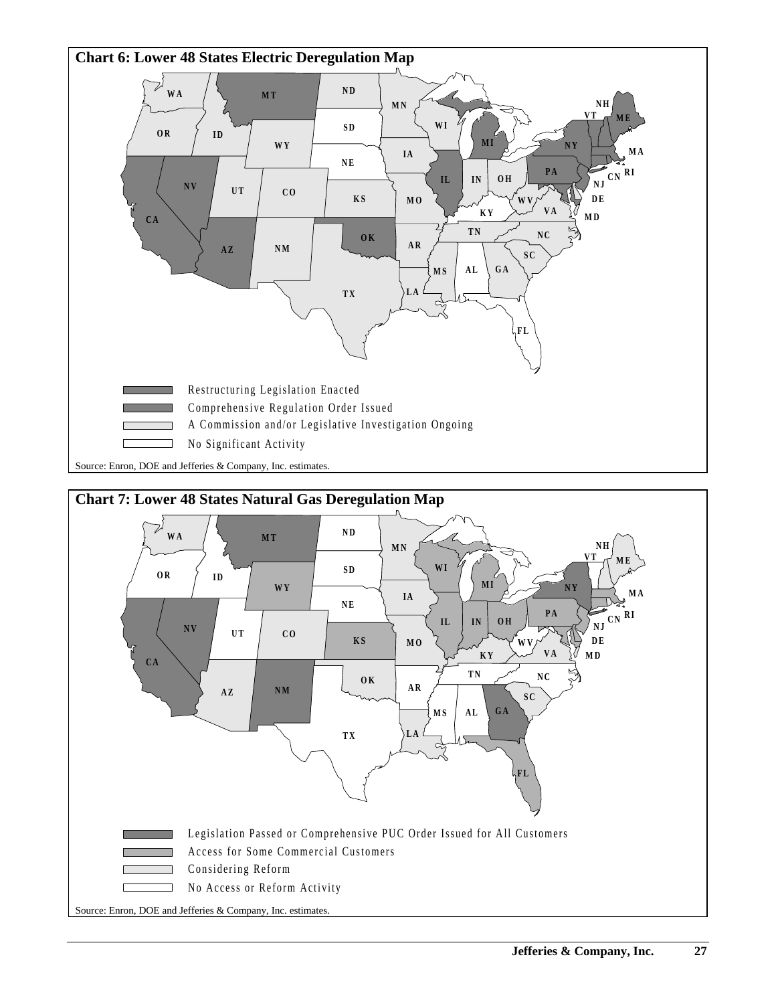



Source: Enron, DOE and Jefferies & Company, Inc. estimates.